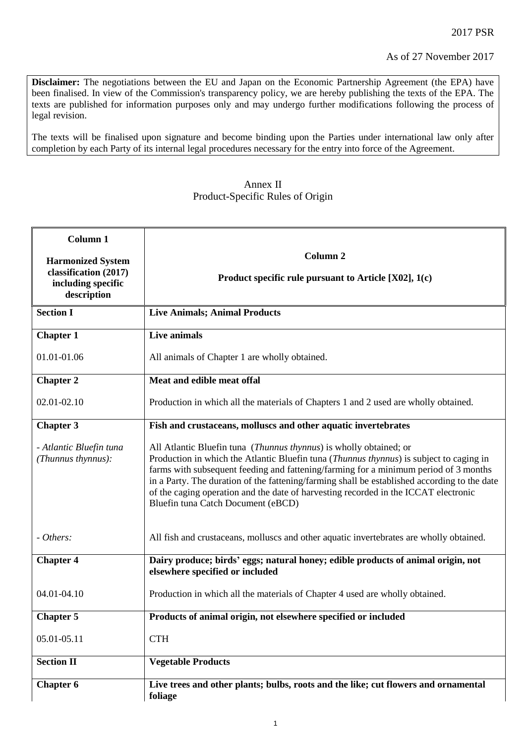**Disclaimer:** The negotiations between the EU and Japan on the Economic Partnership Agreement (the EPA) have been finalised. In view of the Commission's transparency policy, we are hereby publishing the texts of the EPA. The texts are published for information purposes only and may undergo further modifications following the process of legal revision.

The texts will be finalised upon signature and become binding upon the Parties under international law only after completion by each Party of its internal legal procedures necessary for the entry into force of the Agreement.

## Annex II Product-Specific Rules of Origin

| Column 1                                                                               | Column <sub>2</sub>                                                                                                                                                                                                                                                                                                                                                                                                                                                                         |
|----------------------------------------------------------------------------------------|---------------------------------------------------------------------------------------------------------------------------------------------------------------------------------------------------------------------------------------------------------------------------------------------------------------------------------------------------------------------------------------------------------------------------------------------------------------------------------------------|
| <b>Harmonized System</b><br>classification (2017)<br>including specific<br>description | Product specific rule pursuant to Article $[X02]$ , 1(c)                                                                                                                                                                                                                                                                                                                                                                                                                                    |
| <b>Section I</b>                                                                       | <b>Live Animals; Animal Products</b>                                                                                                                                                                                                                                                                                                                                                                                                                                                        |
| <b>Chapter 1</b>                                                                       | Live animals                                                                                                                                                                                                                                                                                                                                                                                                                                                                                |
| 01.01-01.06                                                                            | All animals of Chapter 1 are wholly obtained.                                                                                                                                                                                                                                                                                                                                                                                                                                               |
| <b>Chapter 2</b>                                                                       | Meat and edible meat offal                                                                                                                                                                                                                                                                                                                                                                                                                                                                  |
| 02.01-02.10                                                                            | Production in which all the materials of Chapters 1 and 2 used are wholly obtained.                                                                                                                                                                                                                                                                                                                                                                                                         |
| <b>Chapter 3</b>                                                                       | Fish and crustaceans, molluscs and other aquatic invertebrates                                                                                                                                                                                                                                                                                                                                                                                                                              |
| - Atlantic Bluefin tuna<br>(Thunnus thynnus):                                          | All Atlantic Bluefin tuna (Thunnus thynnus) is wholly obtained; or<br>Production in which the Atlantic Bluefin tuna ( <i>Thunnus thynnus</i> ) is subject to caging in<br>farms with subsequent feeding and fattening/farming for a minimum period of 3 months<br>in a Party. The duration of the fattening/farming shall be established according to the date<br>of the caging operation and the date of harvesting recorded in the ICCAT electronic<br>Bluefin tuna Catch Document (eBCD) |
| - Others:                                                                              | All fish and crustaceans, molluscs and other aquatic invertebrates are wholly obtained.                                                                                                                                                                                                                                                                                                                                                                                                     |
| <b>Chapter 4</b>                                                                       | Dairy produce; birds' eggs; natural honey; edible products of animal origin, not<br>elsewhere specified or included                                                                                                                                                                                                                                                                                                                                                                         |
| 04.01-04.10                                                                            | Production in which all the materials of Chapter 4 used are wholly obtained.                                                                                                                                                                                                                                                                                                                                                                                                                |
| <b>Chapter 5</b>                                                                       | Products of animal origin, not elsewhere specified or included                                                                                                                                                                                                                                                                                                                                                                                                                              |
| 05.01-05.11                                                                            | <b>CTH</b>                                                                                                                                                                                                                                                                                                                                                                                                                                                                                  |
| <b>Section II</b>                                                                      | <b>Vegetable Products</b>                                                                                                                                                                                                                                                                                                                                                                                                                                                                   |
| <b>Chapter 6</b>                                                                       | Live trees and other plants; bulbs, roots and the like; cut flowers and ornamental<br>foliage                                                                                                                                                                                                                                                                                                                                                                                               |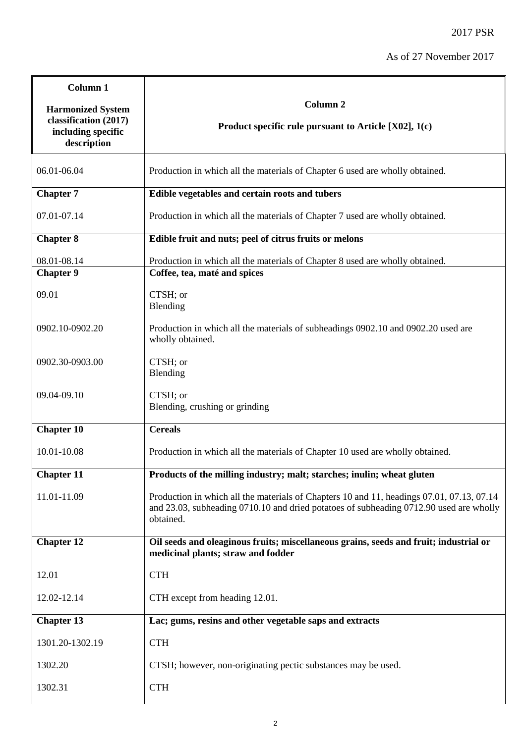Ĩ.

| Column 1                                                                               |                                                                                                                                                                                                  |
|----------------------------------------------------------------------------------------|--------------------------------------------------------------------------------------------------------------------------------------------------------------------------------------------------|
| <b>Harmonized System</b><br>classification (2017)<br>including specific<br>description | Column <sub>2</sub><br>Product specific rule pursuant to Article [X02], 1(c)                                                                                                                     |
| 06.01-06.04                                                                            | Production in which all the materials of Chapter 6 used are wholly obtained.                                                                                                                     |
| <b>Chapter 7</b>                                                                       | Edible vegetables and certain roots and tubers                                                                                                                                                   |
| 07.01-07.14                                                                            | Production in which all the materials of Chapter 7 used are wholly obtained.                                                                                                                     |
| <b>Chapter 8</b>                                                                       | Edible fruit and nuts; peel of citrus fruits or melons                                                                                                                                           |
| 08.01-08.14                                                                            | Production in which all the materials of Chapter 8 used are wholly obtained.                                                                                                                     |
| Chapter <sup>9</sup>                                                                   | Coffee, tea, maté and spices                                                                                                                                                                     |
| 09.01                                                                                  | CTSH; or<br>Blending                                                                                                                                                                             |
| 0902.10-0902.20                                                                        | Production in which all the materials of subheadings 0902.10 and 0902.20 used are<br>wholly obtained.                                                                                            |
| 0902.30-0903.00                                                                        | CTSH; or<br>Blending                                                                                                                                                                             |
| 09.04-09.10                                                                            | CTSH; or<br>Blending, crushing or grinding                                                                                                                                                       |
| <b>Chapter 10</b>                                                                      | <b>Cereals</b>                                                                                                                                                                                   |
| 10.01-10.08                                                                            | Production in which all the materials of Chapter 10 used are wholly obtained.                                                                                                                    |
| <b>Chapter 11</b>                                                                      | Products of the milling industry; malt; starches; inulin; wheat gluten                                                                                                                           |
| 11.01-11.09                                                                            | Production in which all the materials of Chapters 10 and 11, headings 07.01, 07.13, 07.14<br>and 23.03, subheading 0710.10 and dried potatoes of subheading 0712.90 used are wholly<br>obtained. |
| <b>Chapter 12</b>                                                                      | Oil seeds and oleaginous fruits; miscellaneous grains, seeds and fruit; industrial or<br>medicinal plants; straw and fodder                                                                      |
| 12.01                                                                                  | <b>CTH</b>                                                                                                                                                                                       |
| 12.02-12.14                                                                            | CTH except from heading 12.01.                                                                                                                                                                   |
| <b>Chapter 13</b>                                                                      | Lac; gums, resins and other vegetable saps and extracts                                                                                                                                          |
| 1301.20-1302.19                                                                        | <b>CTH</b>                                                                                                                                                                                       |
| 1302.20                                                                                | CTSH; however, non-originating pectic substances may be used.                                                                                                                                    |
| 1302.31                                                                                | <b>CTH</b>                                                                                                                                                                                       |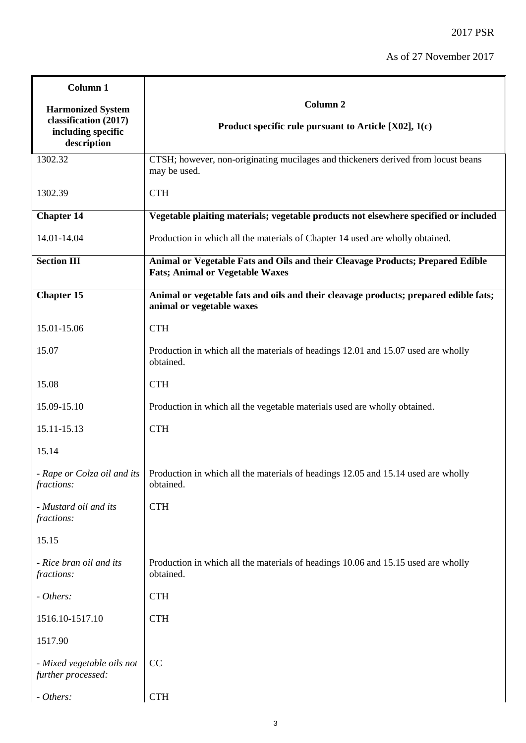| Column 1                                          |                                                                                                                              |
|---------------------------------------------------|------------------------------------------------------------------------------------------------------------------------------|
| <b>Harmonized System</b><br>classification (2017) | <b>Column 2</b><br>Product specific rule pursuant to Article $[X02]$ , 1(c)                                                  |
| including specific<br>description                 |                                                                                                                              |
| 1302.32                                           | CTSH; however, non-originating mucilages and thickeners derived from locust beans<br>may be used.                            |
| 1302.39                                           | <b>CTH</b>                                                                                                                   |
| <b>Chapter 14</b>                                 | Vegetable plaiting materials; vegetable products not elsewhere specified or included                                         |
| 14.01-14.04                                       | Production in which all the materials of Chapter 14 used are wholly obtained.                                                |
| <b>Section III</b>                                | Animal or Vegetable Fats and Oils and their Cleavage Products; Prepared Edible<br><b>Fats; Animal or Vegetable Waxes</b>     |
| <b>Chapter 15</b>                                 | Animal or vegetable fats and oils and their cleavage products; prepared edible fats;<br>animal or vegetable waxes            |
| 15.01-15.06                                       | <b>CTH</b>                                                                                                                   |
| 15.07                                             | Production in which all the materials of headings 12.01 and 15.07 used are wholly<br>obtained.                               |
| 15.08                                             | <b>CTH</b>                                                                                                                   |
| 15.09-15.10                                       | Production in which all the vegetable materials used are wholly obtained.                                                    |
| 15.11-15.13                                       | <b>CTH</b>                                                                                                                   |
| 15.14                                             |                                                                                                                              |
| fractions:                                        | - Rape or Colza oil and its   Production in which all the materials of headings 12.05 and 15.14 used are wholly<br>obtained. |
| - Mustard oil and its<br>fractions:               | <b>CTH</b>                                                                                                                   |
| 15.15                                             |                                                                                                                              |
| - Rice bran oil and its<br>fractions:             | Production in which all the materials of headings 10.06 and 15.15 used are wholly<br>obtained.                               |
| - Others:                                         | <b>CTH</b>                                                                                                                   |
| 1516.10-1517.10                                   | <b>CTH</b>                                                                                                                   |
| 1517.90                                           |                                                                                                                              |
| - Mixed vegetable oils not<br>further processed:  | CC                                                                                                                           |
| - Others:                                         | <b>CTH</b>                                                                                                                   |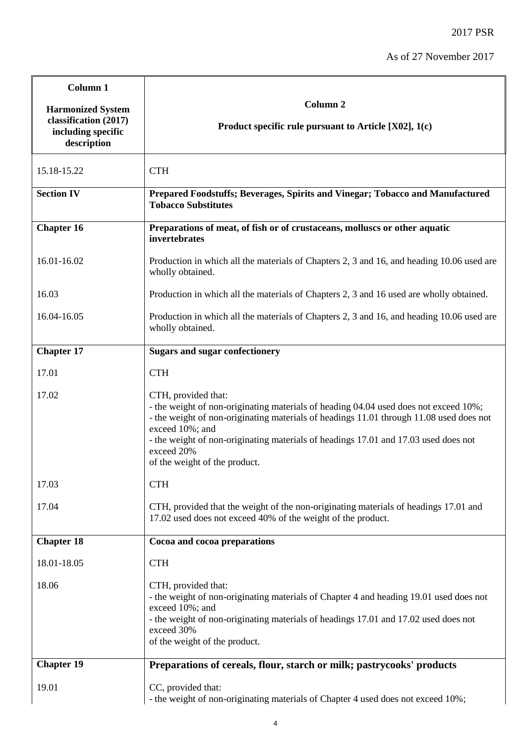| Column 1                                                                               |                                                                                                                                                                                                                                                                                                                                                                 |
|----------------------------------------------------------------------------------------|-----------------------------------------------------------------------------------------------------------------------------------------------------------------------------------------------------------------------------------------------------------------------------------------------------------------------------------------------------------------|
| <b>Harmonized System</b><br>classification (2017)<br>including specific<br>description | Column <sub>2</sub><br>Product specific rule pursuant to Article [X02], 1(c)                                                                                                                                                                                                                                                                                    |
| 15.18-15.22                                                                            | <b>CTH</b>                                                                                                                                                                                                                                                                                                                                                      |
| <b>Section IV</b>                                                                      | Prepared Foodstuffs; Beverages, Spirits and Vinegar; Tobacco and Manufactured<br><b>Tobacco Substitutes</b>                                                                                                                                                                                                                                                     |
| <b>Chapter 16</b>                                                                      | Preparations of meat, of fish or of crustaceans, molluscs or other aquatic<br>invertebrates                                                                                                                                                                                                                                                                     |
| 16.01-16.02                                                                            | Production in which all the materials of Chapters 2, 3 and 16, and heading 10.06 used are<br>wholly obtained.                                                                                                                                                                                                                                                   |
| 16.03                                                                                  | Production in which all the materials of Chapters 2, 3 and 16 used are wholly obtained.                                                                                                                                                                                                                                                                         |
| 16.04-16.05                                                                            | Production in which all the materials of Chapters 2, 3 and 16, and heading 10.06 used are<br>wholly obtained.                                                                                                                                                                                                                                                   |
| <b>Chapter 17</b>                                                                      | <b>Sugars and sugar confectionery</b>                                                                                                                                                                                                                                                                                                                           |
| 17.01                                                                                  | <b>CTH</b>                                                                                                                                                                                                                                                                                                                                                      |
| 17.02                                                                                  | CTH, provided that:<br>- the weight of non-originating materials of heading 04.04 used does not exceed 10%;<br>- the weight of non-originating materials of headings 11.01 through 11.08 used does not<br>exceed 10%; and<br>- the weight of non-originating materials of headings 17.01 and 17.03 used does not<br>exceed 20%<br>of the weight of the product. |
| 17.03                                                                                  | <b>CTH</b>                                                                                                                                                                                                                                                                                                                                                      |
| 17.04                                                                                  | CTH, provided that the weight of the non-originating materials of headings 17.01 and<br>17.02 used does not exceed 40% of the weight of the product.                                                                                                                                                                                                            |
| <b>Chapter 18</b>                                                                      | Cocoa and cocoa preparations                                                                                                                                                                                                                                                                                                                                    |
| 18.01-18.05                                                                            | <b>CTH</b>                                                                                                                                                                                                                                                                                                                                                      |
| 18.06                                                                                  | CTH, provided that:<br>- the weight of non-originating materials of Chapter 4 and heading 19.01 used does not<br>exceed 10%; and<br>- the weight of non-originating materials of headings 17.01 and 17.02 used does not<br>exceed 30%<br>of the weight of the product.                                                                                          |
| <b>Chapter 19</b>                                                                      | Preparations of cereals, flour, starch or milk; pastrycooks' products                                                                                                                                                                                                                                                                                           |
| 19.01                                                                                  | CC, provided that:<br>- the weight of non-originating materials of Chapter 4 used does not exceed 10%;                                                                                                                                                                                                                                                          |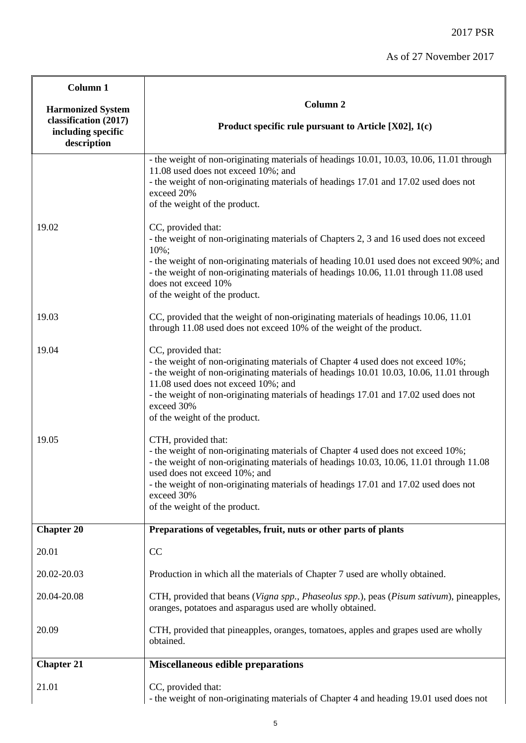| Column 1                                                                                                                   |                                                                                                                                                                                                                                                                                                                                                                                |
|----------------------------------------------------------------------------------------------------------------------------|--------------------------------------------------------------------------------------------------------------------------------------------------------------------------------------------------------------------------------------------------------------------------------------------------------------------------------------------------------------------------------|
| <b>Harmonized System</b><br>classification (2017)<br>including specific<br>$\label{eq:approximation} \textbf{description}$ | Column <sub>2</sub><br>Product specific rule pursuant to Article $[X02]$ , 1(c)                                                                                                                                                                                                                                                                                                |
|                                                                                                                            | - the weight of non-originating materials of headings 10.01, 10.03, 10.06, 11.01 through<br>11.08 used does not exceed 10%; and<br>- the weight of non-originating materials of headings 17.01 and 17.02 used does not<br>exceed 20%<br>of the weight of the product.                                                                                                          |
| 19.02                                                                                                                      | CC, provided that:<br>- the weight of non-originating materials of Chapters 2, 3 and 16 used does not exceed<br>$10\%$ ;<br>- the weight of non-originating materials of heading 10.01 used does not exceed 90%; and<br>- the weight of non-originating materials of headings 10.06, 11.01 through 11.08 used<br>does not exceed 10%<br>of the weight of the product.          |
| 19.03                                                                                                                      | CC, provided that the weight of non-originating materials of headings 10.06, 11.01<br>through 11.08 used does not exceed 10% of the weight of the product.                                                                                                                                                                                                                     |
| 19.04                                                                                                                      | CC, provided that:<br>- the weight of non-originating materials of Chapter 4 used does not exceed 10%;<br>- the weight of non-originating materials of headings 10.01 10.03, 10.06, 11.01 through<br>11.08 used does not exceed 10%; and<br>- the weight of non-originating materials of headings 17.01 and 17.02 used does not<br>exceed 30%<br>of the weight of the product. |
| 19.05                                                                                                                      | CTH, provided that:<br>- the weight of non-originating materials of Chapter 4 used does not exceed 10%;<br>- the weight of non-originating materials of headings 10.03, 10.06, 11.01 through 11.08<br>used does not exceed 10%; and<br>- the weight of non-originating materials of headings 17.01 and 17.02 used does not<br>exceed 30%<br>of the weight of the product.      |
| <b>Chapter 20</b>                                                                                                          | Preparations of vegetables, fruit, nuts or other parts of plants                                                                                                                                                                                                                                                                                                               |
| 20.01                                                                                                                      | CC                                                                                                                                                                                                                                                                                                                                                                             |
| 20.02-20.03                                                                                                                | Production in which all the materials of Chapter 7 used are wholly obtained.                                                                                                                                                                                                                                                                                                   |
| 20.04-20.08                                                                                                                | CTH, provided that beans (Vigna spp., Phaseolus spp.), peas (Pisum sativum), pineapples,<br>oranges, potatoes and asparagus used are wholly obtained.                                                                                                                                                                                                                          |
| 20.09                                                                                                                      | CTH, provided that pineapples, oranges, tomatoes, apples and grapes used are wholly<br>obtained.                                                                                                                                                                                                                                                                               |
| <b>Chapter 21</b>                                                                                                          | <b>Miscellaneous edible preparations</b>                                                                                                                                                                                                                                                                                                                                       |
| 21.01                                                                                                                      | CC, provided that:<br>- the weight of non-originating materials of Chapter 4 and heading 19.01 used does not                                                                                                                                                                                                                                                                   |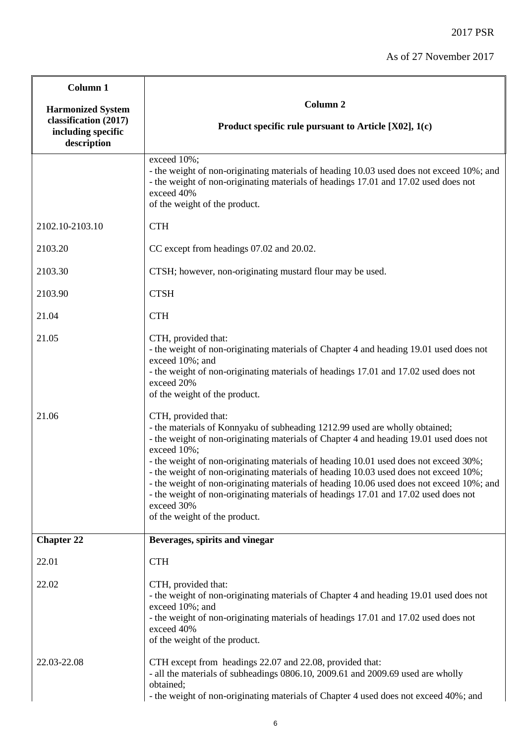| Column 1                                                   |                                                                                                                                                                                                                                                                                                                                                                                                                                                                                                                                                                                                                             |
|------------------------------------------------------------|-----------------------------------------------------------------------------------------------------------------------------------------------------------------------------------------------------------------------------------------------------------------------------------------------------------------------------------------------------------------------------------------------------------------------------------------------------------------------------------------------------------------------------------------------------------------------------------------------------------------------------|
| <b>Harmonized System</b>                                   | Column <sub>2</sub>                                                                                                                                                                                                                                                                                                                                                                                                                                                                                                                                                                                                         |
| classification (2017)<br>including specific<br>description | Product specific rule pursuant to Article [X02], 1(c)                                                                                                                                                                                                                                                                                                                                                                                                                                                                                                                                                                       |
|                                                            | exceed 10%;<br>- the weight of non-originating materials of heading 10.03 used does not exceed 10%; and<br>- the weight of non-originating materials of headings 17.01 and 17.02 used does not<br>exceed 40%<br>of the weight of the product.                                                                                                                                                                                                                                                                                                                                                                               |
| 2102.10-2103.10                                            | <b>CTH</b>                                                                                                                                                                                                                                                                                                                                                                                                                                                                                                                                                                                                                  |
| 2103.20                                                    | CC except from headings 07.02 and 20.02.                                                                                                                                                                                                                                                                                                                                                                                                                                                                                                                                                                                    |
| 2103.30                                                    | CTSH; however, non-originating mustard flour may be used.                                                                                                                                                                                                                                                                                                                                                                                                                                                                                                                                                                   |
| 2103.90                                                    | <b>CTSH</b>                                                                                                                                                                                                                                                                                                                                                                                                                                                                                                                                                                                                                 |
| 21.04                                                      | <b>CTH</b>                                                                                                                                                                                                                                                                                                                                                                                                                                                                                                                                                                                                                  |
| 21.05                                                      | CTH, provided that:<br>- the weight of non-originating materials of Chapter 4 and heading 19.01 used does not<br>exceed 10%; and<br>- the weight of non-originating materials of headings 17.01 and 17.02 used does not<br>exceed 20%<br>of the weight of the product.                                                                                                                                                                                                                                                                                                                                                      |
| 21.06                                                      | CTH, provided that:<br>- the materials of Konnyaku of subheading 1212.99 used are wholly obtained;<br>- the weight of non-originating materials of Chapter 4 and heading 19.01 used does not<br>exceed 10%;<br>- the weight of non-originating materials of heading 10.01 used does not exceed 30%;<br>the weight of non-originating materials of heading 10.03 used does not exceed 10%;<br>- the weight of non-originating materials of heading 10.06 used does not exceed 10%; and<br>- the weight of non-originating materials of headings 17.01 and 17.02 used does not<br>exceed 30%<br>of the weight of the product. |
| <b>Chapter 22</b>                                          | Beverages, spirits and vinegar                                                                                                                                                                                                                                                                                                                                                                                                                                                                                                                                                                                              |
| 22.01                                                      | <b>CTH</b>                                                                                                                                                                                                                                                                                                                                                                                                                                                                                                                                                                                                                  |
| 22.02                                                      | CTH, provided that:<br>- the weight of non-originating materials of Chapter 4 and heading 19.01 used does not<br>exceed 10%; and<br>- the weight of non-originating materials of headings 17.01 and 17.02 used does not<br>exceed 40%<br>of the weight of the product.                                                                                                                                                                                                                                                                                                                                                      |
| 22.03-22.08                                                | CTH except from headings 22.07 and 22.08, provided that:<br>- all the materials of subheadings 0806.10, 2009.61 and 2009.69 used are wholly<br>obtained;<br>- the weight of non-originating materials of Chapter 4 used does not exceed 40%; and                                                                                                                                                                                                                                                                                                                                                                            |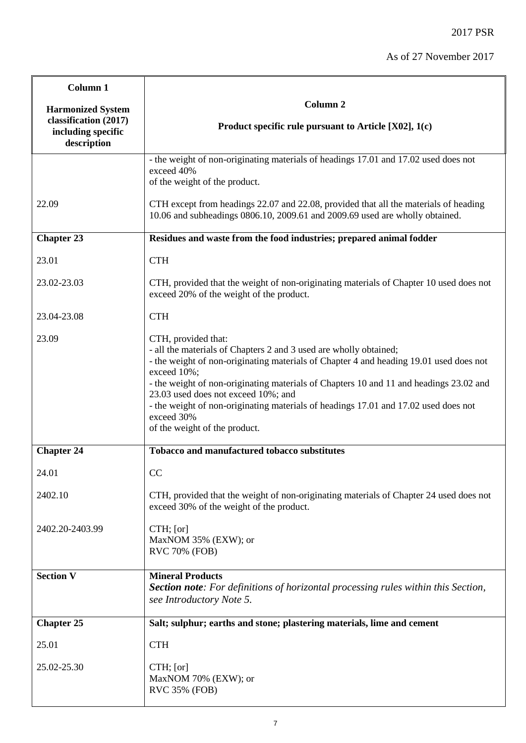| Column 1                                                                               |                                                                                                                                                                                                                                                                                                                                                                                                                                                                          |
|----------------------------------------------------------------------------------------|--------------------------------------------------------------------------------------------------------------------------------------------------------------------------------------------------------------------------------------------------------------------------------------------------------------------------------------------------------------------------------------------------------------------------------------------------------------------------|
| <b>Harmonized System</b><br>classification (2017)<br>including specific<br>description | Column <sub>2</sub><br>Product specific rule pursuant to Article $[X02]$ , 1(c)                                                                                                                                                                                                                                                                                                                                                                                          |
|                                                                                        | - the weight of non-originating materials of headings 17.01 and 17.02 used does not<br>exceed 40%<br>of the weight of the product.                                                                                                                                                                                                                                                                                                                                       |
| 22.09                                                                                  | CTH except from headings 22.07 and 22.08, provided that all the materials of heading<br>10.06 and subheadings 0806.10, 2009.61 and 2009.69 used are wholly obtained.                                                                                                                                                                                                                                                                                                     |
| <b>Chapter 23</b>                                                                      | Residues and waste from the food industries; prepared animal fodder                                                                                                                                                                                                                                                                                                                                                                                                      |
| 23.01                                                                                  | <b>CTH</b>                                                                                                                                                                                                                                                                                                                                                                                                                                                               |
| 23.02-23.03                                                                            | CTH, provided that the weight of non-originating materials of Chapter 10 used does not<br>exceed 20% of the weight of the product.                                                                                                                                                                                                                                                                                                                                       |
| 23.04-23.08                                                                            | <b>CTH</b>                                                                                                                                                                                                                                                                                                                                                                                                                                                               |
| 23.09                                                                                  | CTH, provided that:<br>- all the materials of Chapters 2 and 3 used are wholly obtained;<br>- the weight of non-originating materials of Chapter 4 and heading 19.01 used does not<br>exceed 10%;<br>- the weight of non-originating materials of Chapters 10 and 11 and headings 23.02 and<br>23.03 used does not exceed 10%; and<br>- the weight of non-originating materials of headings 17.01 and 17.02 used does not<br>exceed 30%<br>of the weight of the product. |
| <b>Chapter 24</b>                                                                      | <b>Tobacco and manufactured tobacco substitutes</b>                                                                                                                                                                                                                                                                                                                                                                                                                      |
| 24.01                                                                                  | CC                                                                                                                                                                                                                                                                                                                                                                                                                                                                       |
| 2402.10                                                                                | CTH, provided that the weight of non-originating materials of Chapter 24 used does not<br>exceed 30% of the weight of the product.                                                                                                                                                                                                                                                                                                                                       |
| 2402.20-2403.99                                                                        | CTH; [or]<br>MaxNOM 35% (EXW); or<br><b>RVC 70% (FOB)</b>                                                                                                                                                                                                                                                                                                                                                                                                                |
| <b>Section V</b>                                                                       | <b>Mineral Products</b><br><b>Section note:</b> For definitions of horizontal processing rules within this Section,<br>see Introductory Note 5.                                                                                                                                                                                                                                                                                                                          |
| <b>Chapter 25</b>                                                                      | Salt; sulphur; earths and stone; plastering materials, lime and cement                                                                                                                                                                                                                                                                                                                                                                                                   |
| 25.01                                                                                  | <b>CTH</b>                                                                                                                                                                                                                                                                                                                                                                                                                                                               |
| 25.02-25.30                                                                            | CTH; [or]<br>MaxNOM 70% (EXW); or<br><b>RVC 35% (FOB)</b>                                                                                                                                                                                                                                                                                                                                                                                                                |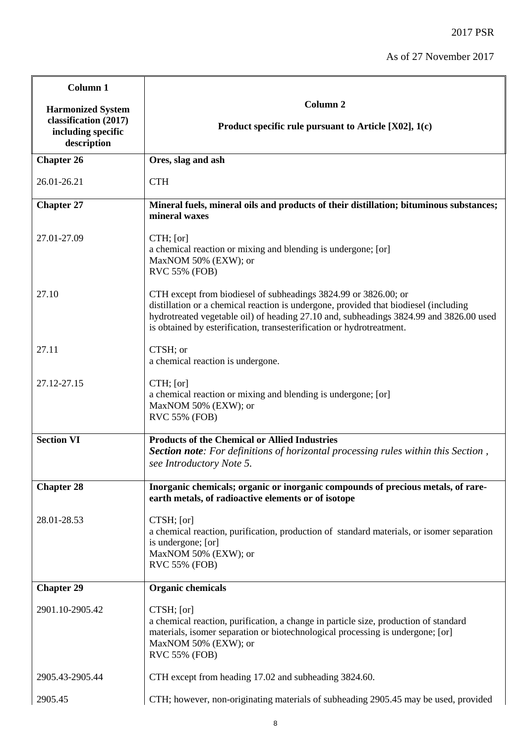| Column <sub>1</sub>                                                                    |                                                                                                                                                                                                                                                                                                                            |
|----------------------------------------------------------------------------------------|----------------------------------------------------------------------------------------------------------------------------------------------------------------------------------------------------------------------------------------------------------------------------------------------------------------------------|
| <b>Harmonized System</b><br>classification (2017)<br>including specific<br>description | Column <sub>2</sub><br>Product specific rule pursuant to Article [X02], 1(c)                                                                                                                                                                                                                                               |
| <b>Chapter 26</b>                                                                      | Ores, slag and ash                                                                                                                                                                                                                                                                                                         |
| 26.01-26.21                                                                            | <b>CTH</b>                                                                                                                                                                                                                                                                                                                 |
| <b>Chapter 27</b>                                                                      | Mineral fuels, mineral oils and products of their distillation; bituminous substances;<br>mineral waxes                                                                                                                                                                                                                    |
| 27.01-27.09                                                                            | $CTH$ ; [or]<br>a chemical reaction or mixing and blending is undergone; [or]<br>MaxNOM 50% (EXW); or<br><b>RVC 55% (FOB)</b>                                                                                                                                                                                              |
| 27.10                                                                                  | CTH except from biodiesel of subheadings 3824.99 or 3826.00; or<br>distillation or a chemical reaction is undergone, provided that biodiesel (including<br>hydrotreated vegetable oil) of heading 27.10 and, subheadings 3824.99 and 3826.00 used<br>is obtained by esterification, transesterification or hydrotreatment. |
| 27.11                                                                                  | CTSH; or<br>a chemical reaction is undergone.                                                                                                                                                                                                                                                                              |
| 27.12-27.15                                                                            | CTH; [or]<br>a chemical reaction or mixing and blending is undergone; [or]<br>MaxNOM 50% (EXW); or<br><b>RVC 55% (FOB)</b>                                                                                                                                                                                                 |
| <b>Section VI</b>                                                                      | <b>Products of the Chemical or Allied Industries</b><br>Section note: For definitions of horizontal processing rules within this Section,<br>see Introductory Note 5.                                                                                                                                                      |
| <b>Chapter 28</b>                                                                      | Inorganic chemicals; organic or inorganic compounds of precious metals, of rare-<br>earth metals, of radioactive elements or of isotope                                                                                                                                                                                    |
| 28.01-28.53                                                                            | CTSH; [or]<br>a chemical reaction, purification, production of standard materials, or isomer separation<br>is undergone; [or]<br>MaxNOM 50% (EXW); or<br><b>RVC 55% (FOB)</b>                                                                                                                                              |
| <b>Chapter 29</b>                                                                      | <b>Organic chemicals</b>                                                                                                                                                                                                                                                                                                   |
| 2901.10-2905.42                                                                        | CTSH; [or]<br>a chemical reaction, purification, a change in particle size, production of standard<br>materials, isomer separation or biotechnological processing is undergone; [or]<br>MaxNOM 50% (EXW); or<br><b>RVC 55% (FOB)</b>                                                                                       |
| 2905.43-2905.44                                                                        | CTH except from heading 17.02 and subheading 3824.60.                                                                                                                                                                                                                                                                      |
| 2905.45                                                                                | CTH; however, non-originating materials of subheading 2905.45 may be used, provided                                                                                                                                                                                                                                        |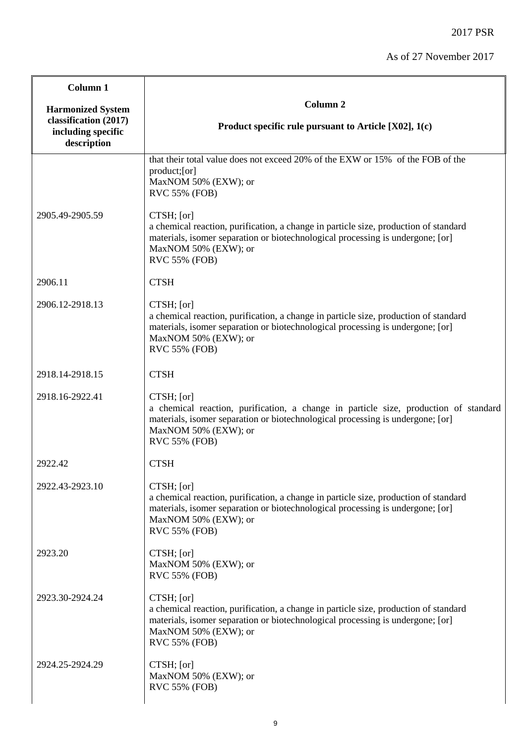| Column 1                                                                               |                                                                                                                                                                                                                                      |
|----------------------------------------------------------------------------------------|--------------------------------------------------------------------------------------------------------------------------------------------------------------------------------------------------------------------------------------|
| <b>Harmonized System</b><br>classification (2017)<br>including specific<br>description | Column <sub>2</sub><br>Product specific rule pursuant to Article [X02], 1(c)                                                                                                                                                         |
|                                                                                        | that their total value does not exceed 20% of the EXW or 15% of the FOB of the<br>product;[or]<br>MaxNOM 50% (EXW); or<br><b>RVC 55% (FOB)</b>                                                                                       |
| 2905.49-2905.59                                                                        | CTSH; [or]<br>a chemical reaction, purification, a change in particle size, production of standard<br>materials, isomer separation or biotechnological processing is undergone; [or]<br>MaxNOM 50% (EXW); or<br><b>RVC 55% (FOB)</b> |
| 2906.11                                                                                | <b>CTSH</b>                                                                                                                                                                                                                          |
| 2906.12-2918.13                                                                        | CTSH; [or]<br>a chemical reaction, purification, a change in particle size, production of standard<br>materials, isomer separation or biotechnological processing is undergone; [or]<br>MaxNOM 50% (EXW); or<br>RVC 55% (FOB)        |
| 2918.14-2918.15                                                                        | <b>CTSH</b>                                                                                                                                                                                                                          |
| 2918.16-2922.41                                                                        | CTSH; [or]<br>a chemical reaction, purification, a change in particle size, production of standard<br>materials, isomer separation or biotechnological processing is undergone; [or]<br>MaxNOM 50% (EXW); or<br>RVC 55% (FOB)        |
| 2922.42                                                                                | <b>CTSH</b>                                                                                                                                                                                                                          |
| 2922.43-2923.10                                                                        | CTSH; [or]<br>a chemical reaction, purification, a change in particle size, production of standard<br>materials, isomer separation or biotechnological processing is undergone; [or]<br>MaxNOM 50% (EXW); or<br>RVC 55% (FOB)        |
| 2923.20                                                                                | CTSH; [or]<br>MaxNOM 50% (EXW); or<br><b>RVC 55% (FOB)</b>                                                                                                                                                                           |
| 2923.30-2924.24                                                                        | CTSH; [or]<br>a chemical reaction, purification, a change in particle size, production of standard<br>materials, isomer separation or biotechnological processing is undergone; [or]<br>MaxNOM 50% (EXW); or<br>RVC 55% (FOB)        |
| 2924.25-2924.29                                                                        | CTSH; [or]<br>MaxNOM 50% (EXW); or<br>RVC 55% (FOB)                                                                                                                                                                                  |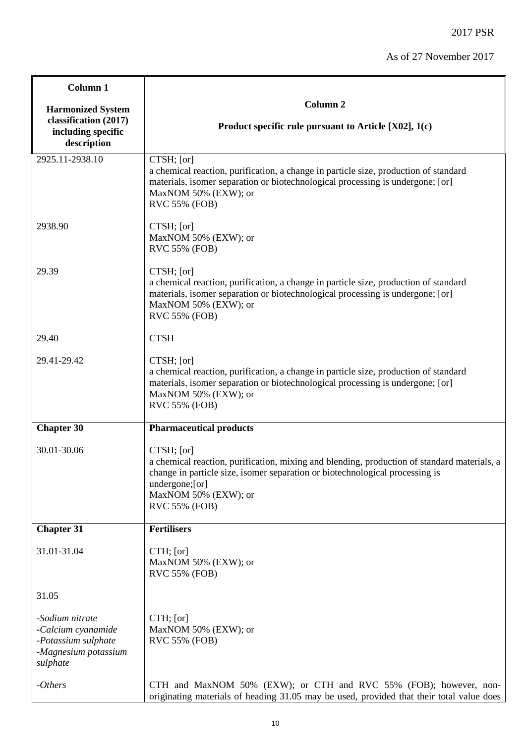| Column 1                                                                                         |                                                                                                                                                                                                                                                              |
|--------------------------------------------------------------------------------------------------|--------------------------------------------------------------------------------------------------------------------------------------------------------------------------------------------------------------------------------------------------------------|
| <b>Harmonized System</b>                                                                         | Column <sub>2</sub>                                                                                                                                                                                                                                          |
| classification (2017)<br>including specific<br>description                                       | Product specific rule pursuant to Article $[X02]$ , 1(c)                                                                                                                                                                                                     |
| 2925.11-2938.10                                                                                  | CTSH; [or]<br>a chemical reaction, purification, a change in particle size, production of standard<br>materials, isomer separation or biotechnological processing is undergone; [or]<br>MaxNOM 50% (EXW); or<br><b>RVC 55% (FOB)</b>                         |
| 2938.90                                                                                          | CTSH; [or]<br>MaxNOM 50% (EXW); or<br>RVC 55% (FOB)                                                                                                                                                                                                          |
| 29.39                                                                                            | CTSH; [or]<br>a chemical reaction, purification, a change in particle size, production of standard<br>materials, isomer separation or biotechnological processing is undergone; [or]<br>MaxNOM 50% (EXW); or<br>RVC 55% (FOB)                                |
| 29.40                                                                                            | <b>CTSH</b>                                                                                                                                                                                                                                                  |
| 29.41-29.42                                                                                      | CTSH; [or]<br>a chemical reaction, purification, a change in particle size, production of standard<br>materials, isomer separation or biotechnological processing is undergone; [or]<br>MaxNOM 50% (EXW); or<br><b>RVC 55% (FOB)</b>                         |
| <b>Chapter 30</b>                                                                                | <b>Pharmaceutical products</b>                                                                                                                                                                                                                               |
| 30.01-30.06                                                                                      | CTSH; [or]<br>a chemical reaction, purification, mixing and blending, production of standard materials, a<br>change in particle size, isomer separation or biotechnological processing is<br>undergone; [or]<br>MaxNOM 50% (EXW); or<br><b>RVC 55% (FOB)</b> |
| <b>Chapter 31</b>                                                                                | <b>Fertilisers</b>                                                                                                                                                                                                                                           |
| 31.01-31.04                                                                                      | $CTH$ ; [or]<br>MaxNOM 50% (EXW); or<br><b>RVC 55% (FOB)</b>                                                                                                                                                                                                 |
| 31.05                                                                                            |                                                                                                                                                                                                                                                              |
| -Sodium nitrate<br>-Calcium cyanamide<br>-Potassium sulphate<br>-Magnesium potassium<br>sulphate | $CTH$ ; [or]<br>MaxNOM 50% (EXW); or<br>RVC 55% (FOB)                                                                                                                                                                                                        |
| $-Others$                                                                                        | CTH and MaxNOM 50% (EXW); or CTH and RVC 55% (FOB); however, non-<br>originating materials of heading 31.05 may be used, provided that their total value does                                                                                                |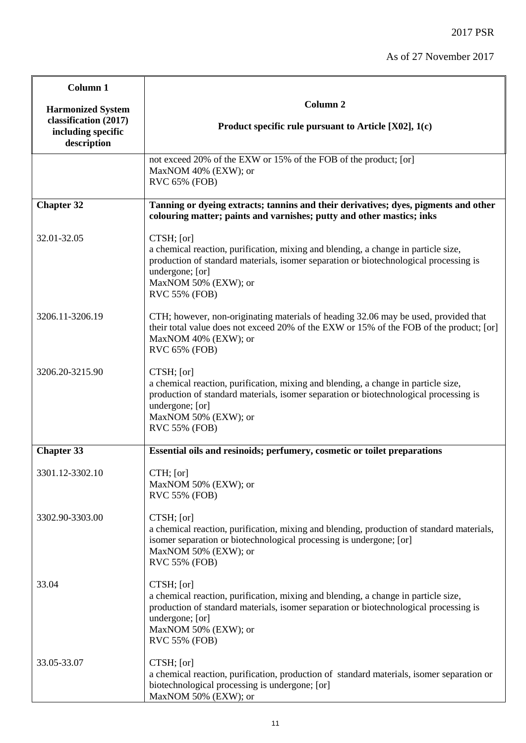| Column 1                                                                               |                                                                                                                                                                                                                                                              |
|----------------------------------------------------------------------------------------|--------------------------------------------------------------------------------------------------------------------------------------------------------------------------------------------------------------------------------------------------------------|
| <b>Harmonized System</b><br>classification (2017)<br>including specific<br>description | Column <sub>2</sub><br>Product specific rule pursuant to Article $[X02]$ , 1(c)                                                                                                                                                                              |
|                                                                                        | not exceed 20% of the EXW or 15% of the FOB of the product; [or]<br>MaxNOM 40% (EXW); or<br>RVC 65% (FOB)                                                                                                                                                    |
| <b>Chapter 32</b>                                                                      | Tanning or dyeing extracts; tannins and their derivatives; dyes, pigments and other<br>colouring matter; paints and varnishes; putty and other mastics; inks                                                                                                 |
| 32.01-32.05                                                                            | CTSH; [or]<br>a chemical reaction, purification, mixing and blending, a change in particle size,<br>production of standard materials, isomer separation or biotechnological processing is<br>undergone; [or]<br>MaxNOM 50% (EXW); or<br><b>RVC 55% (FOB)</b> |
| 3206.11-3206.19                                                                        | CTH; however, non-originating materials of heading 32.06 may be used, provided that<br>their total value does not exceed 20% of the EXW or 15% of the FOB of the product; [or]<br>MaxNOM 40% (EXW); or<br><b>RVC 65% (FOB)</b>                               |
| 3206.20-3215.90                                                                        | CTSH; [or]<br>a chemical reaction, purification, mixing and blending, a change in particle size,<br>production of standard materials, isomer separation or biotechnological processing is<br>undergone; [or]<br>MaxNOM 50% (EXW); or<br><b>RVC 55% (FOB)</b> |
| <b>Chapter 33</b>                                                                      | Essential oils and resinoids; perfumery, cosmetic or toilet preparations                                                                                                                                                                                     |
| 3301.12-3302.10                                                                        | CTH; [or]<br>MaxNOM 50% (EXW); or<br><b>RVC 55% (FOB)</b>                                                                                                                                                                                                    |
| 3302.90-3303.00                                                                        | CTSH; [or]<br>a chemical reaction, purification, mixing and blending, production of standard materials,<br>isomer separation or biotechnological processing is undergone; [or]<br>MaxNOM 50% (EXW); or<br>RVC 55% (FOB)                                      |
| 33.04                                                                                  | CTSH; [or]<br>a chemical reaction, purification, mixing and blending, a change in particle size,<br>production of standard materials, isomer separation or biotechnological processing is<br>undergone; [or]<br>MaxNOM 50% (EXW); or<br><b>RVC 55% (FOB)</b> |
| 33.05-33.07                                                                            | CTSH; [or]<br>a chemical reaction, purification, production of standard materials, isomer separation or<br>biotechnological processing is undergone; [or]<br>MaxNOM 50% (EXW); or                                                                            |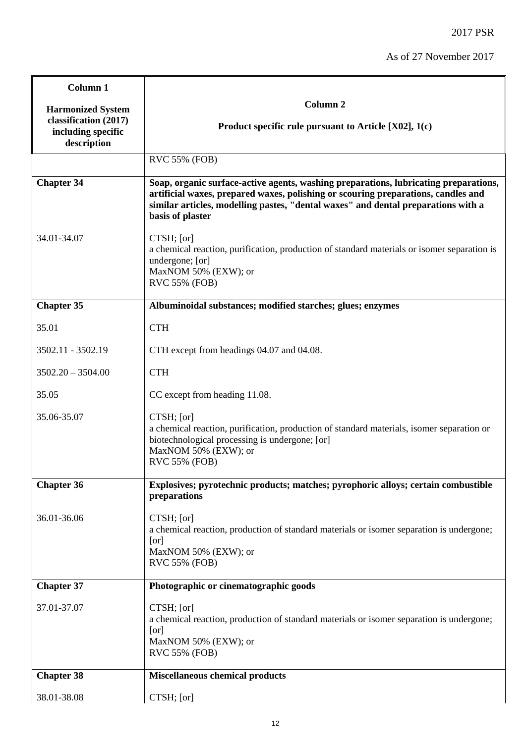| Column 1                                                                               |                                                                                                                                                                                                                                                                                    |
|----------------------------------------------------------------------------------------|------------------------------------------------------------------------------------------------------------------------------------------------------------------------------------------------------------------------------------------------------------------------------------|
| <b>Harmonized System</b><br>classification (2017)<br>including specific<br>description | Column <sub>2</sub><br>Product specific rule pursuant to Article $[X02]$ , 1(c)                                                                                                                                                                                                    |
|                                                                                        | <b>RVC 55% (FOB)</b>                                                                                                                                                                                                                                                               |
| <b>Chapter 34</b>                                                                      | Soap, organic surface-active agents, washing preparations, lubricating preparations,<br>artificial waxes, prepared waxes, polishing or scouring preparations, candles and<br>similar articles, modelling pastes, "dental waxes" and dental preparations with a<br>basis of plaster |
| 34.01-34.07                                                                            | CTSH; [or]<br>a chemical reaction, purification, production of standard materials or isomer separation is<br>undergone; [or]<br>MaxNOM 50% (EXW); or<br><b>RVC 55% (FOB)</b>                                                                                                       |
| <b>Chapter 35</b>                                                                      | Albuminoidal substances; modified starches; glues; enzymes                                                                                                                                                                                                                         |
| 35.01                                                                                  | <b>CTH</b>                                                                                                                                                                                                                                                                         |
| 3502.11 - 3502.19                                                                      | CTH except from headings 04.07 and 04.08.                                                                                                                                                                                                                                          |
| $3502.20 - 3504.00$                                                                    | <b>CTH</b>                                                                                                                                                                                                                                                                         |
| 35.05                                                                                  | CC except from heading 11.08.                                                                                                                                                                                                                                                      |
| 35.06-35.07                                                                            | CTSH; [or]<br>a chemical reaction, purification, production of standard materials, isomer separation or<br>biotechnological processing is undergone; [or]<br>MaxNOM 50% (EXW); or<br><b>RVC 55% (FOB)</b>                                                                          |
| <b>Chapter 36</b>                                                                      | Explosives; pyrotechnic products; matches; pyrophoric alloys; certain combustible<br>preparations                                                                                                                                                                                  |
| 36.01-36.06                                                                            | CTSH; [or]<br>a chemical reaction, production of standard materials or isomer separation is undergone;<br>[or]<br>MaxNOM 50% (EXW); or<br><b>RVC 55% (FOB)</b>                                                                                                                     |
| Chapter 37                                                                             | Photographic or cinematographic goods                                                                                                                                                                                                                                              |
| 37.01-37.07                                                                            | CTSH; [or]<br>a chemical reaction, production of standard materials or isomer separation is undergone;<br>[or]<br>MaxNOM 50% (EXW); or<br><b>RVC 55% (FOB)</b>                                                                                                                     |
| <b>Chapter 38</b>                                                                      | <b>Miscellaneous chemical products</b>                                                                                                                                                                                                                                             |
| 38.01-38.08                                                                            | CTSH; [or]                                                                                                                                                                                                                                                                         |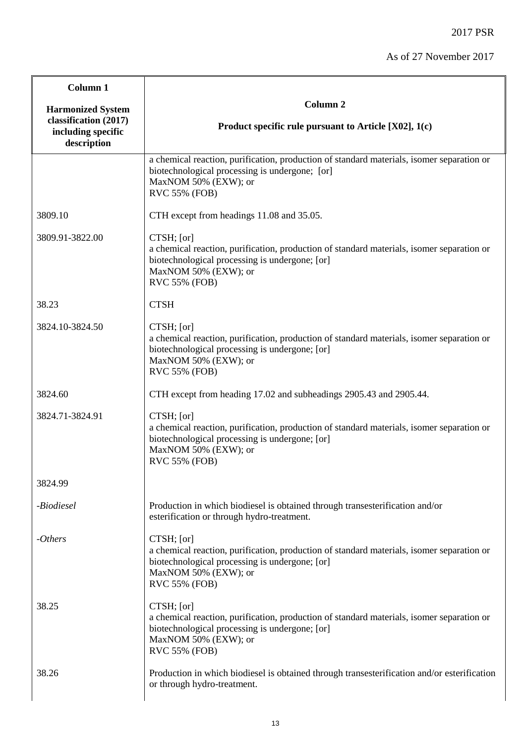| Column 1                                                                               |                                                                                                                                                                                                           |
|----------------------------------------------------------------------------------------|-----------------------------------------------------------------------------------------------------------------------------------------------------------------------------------------------------------|
| <b>Harmonized System</b><br>classification (2017)<br>including specific<br>description | Column <sub>2</sub><br>Product specific rule pursuant to Article [X02], 1(c)                                                                                                                              |
|                                                                                        | a chemical reaction, purification, production of standard materials, isomer separation or<br>biotechnological processing is undergone; [or]<br>MaxNOM 50% (EXW); or<br><b>RVC 55% (FOB)</b>               |
| 3809.10                                                                                | CTH except from headings 11.08 and 35.05.                                                                                                                                                                 |
| 3809.91-3822.00                                                                        | CTSH; [or]<br>a chemical reaction, purification, production of standard materials, isomer separation or<br>biotechnological processing is undergone; [or]<br>MaxNOM 50% (EXW); or<br>RVC 55% (FOB)        |
| 38.23                                                                                  | <b>CTSH</b>                                                                                                                                                                                               |
| 3824.10-3824.50                                                                        | CTSH; [or]<br>a chemical reaction, purification, production of standard materials, isomer separation or<br>biotechnological processing is undergone; [or]<br>MaxNOM 50% (EXW); or<br><b>RVC 55% (FOB)</b> |
| 3824.60                                                                                | CTH except from heading 17.02 and subheadings 2905.43 and 2905.44.                                                                                                                                        |
| 3824.71-3824.91                                                                        | CTSH; [or]<br>a chemical reaction, purification, production of standard materials, isomer separation or<br>biotechnological processing is undergone; [or]<br>MaxNOM 50% (EXW); or<br><b>RVC 55% (FOB)</b> |
| 3824.99                                                                                |                                                                                                                                                                                                           |
| -Biodiesel                                                                             | Production in which biodiesel is obtained through transesterification and/or<br>esterification or through hydro-treatment.                                                                                |
| $- Others$                                                                             | CTSH; [or]<br>a chemical reaction, purification, production of standard materials, isomer separation or<br>biotechnological processing is undergone; [or]<br>MaxNOM 50% (EXW); or<br>RVC 55% (FOB)        |
| 38.25                                                                                  | CTSH; [or]<br>a chemical reaction, purification, production of standard materials, isomer separation or<br>biotechnological processing is undergone; [or]<br>MaxNOM 50% (EXW); or<br><b>RVC 55% (FOB)</b> |
| 38.26                                                                                  | Production in which biodiesel is obtained through transesterification and/or esterification<br>or through hydro-treatment.                                                                                |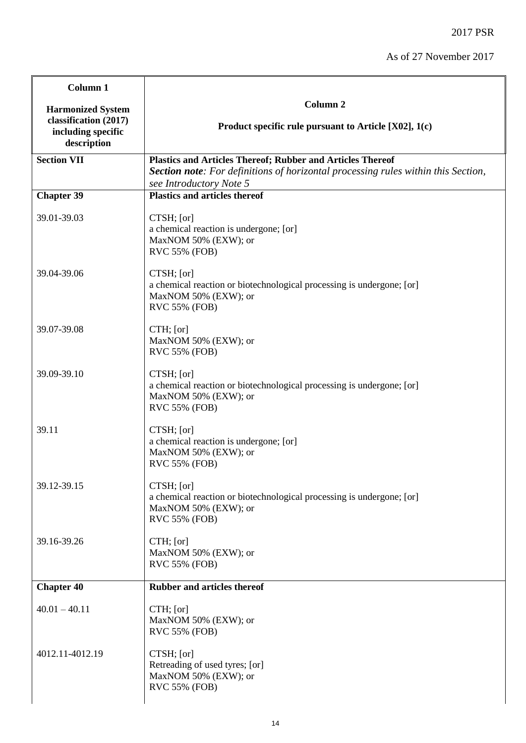| Column 1                                                                               |                                                                                                                                                                                          |
|----------------------------------------------------------------------------------------|------------------------------------------------------------------------------------------------------------------------------------------------------------------------------------------|
| <b>Harmonized System</b><br>classification (2017)<br>including specific<br>description | <b>Column 2</b><br>Product specific rule pursuant to Article $[X02]$ , 1(c)                                                                                                              |
| <b>Section VII</b>                                                                     | <b>Plastics and Articles Thereof; Rubber and Articles Thereof</b><br><b>Section note:</b> For definitions of horizontal processing rules within this Section,<br>see Introductory Note 5 |
| <b>Chapter 39</b>                                                                      | <b>Plastics and articles thereof</b>                                                                                                                                                     |
| 39.01-39.03                                                                            | CTSH; [or]<br>a chemical reaction is undergone; [or]<br>MaxNOM 50% (EXW); or<br><b>RVC 55% (FOB)</b>                                                                                     |
| 39.04-39.06                                                                            | CTSH; [or]<br>a chemical reaction or biotechnological processing is undergone; [or]<br>MaxNOM 50% (EXW); or<br><b>RVC 55% (FOB)</b>                                                      |
| 39.07-39.08                                                                            | CTH; [or]<br>MaxNOM 50% (EXW); or<br><b>RVC 55% (FOB)</b>                                                                                                                                |
| 39.09-39.10                                                                            | CTSH; [or]<br>a chemical reaction or biotechnological processing is undergone; [or]<br>MaxNOM 50% (EXW); or<br><b>RVC 55% (FOB)</b>                                                      |
| 39.11                                                                                  | CTSH; [or]<br>a chemical reaction is undergone; [or]<br>MaxNOM 50% (EXW); or<br><b>RVC 55% (FOB)</b>                                                                                     |
| 39.12-39.15                                                                            | CTSH; [or]<br>a chemical reaction or biotechnological processing is undergone; [or]<br>MaxNOM 50% (EXW); or<br>RVC 55% (FOB)                                                             |
| 39.16-39.26                                                                            | CTH; [or]<br>MaxNOM 50% (EXW); or<br><b>RVC 55% (FOB)</b>                                                                                                                                |
| <b>Chapter 40</b>                                                                      | <b>Rubber and articles thereof</b>                                                                                                                                                       |
| $40.01 - 40.11$                                                                        | $CTH$ ; [or]<br>MaxNOM 50% (EXW); or<br><b>RVC 55% (FOB)</b>                                                                                                                             |
| 4012.11-4012.19                                                                        | CTSH; [or]<br>Retreading of used tyres; [or]<br>MaxNOM 50% (EXW); or<br><b>RVC 55% (FOB)</b>                                                                                             |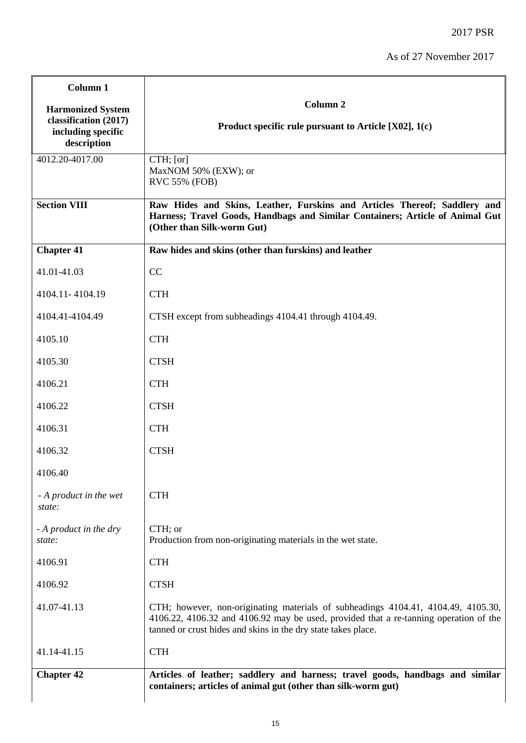2017 PSR

| Column 1                                                                               |                                                                                                                                                                                                                                             |
|----------------------------------------------------------------------------------------|---------------------------------------------------------------------------------------------------------------------------------------------------------------------------------------------------------------------------------------------|
| <b>Harmonized System</b><br>classification (2017)<br>including specific<br>description | Column <sub>2</sub><br>Product specific rule pursuant to Article [X02], 1(c)                                                                                                                                                                |
| 4012.20-4017.00                                                                        | CTH; [or]<br>MaxNOM 50% (EXW); or<br>RVC 55% (FOB)                                                                                                                                                                                          |
| <b>Section VIII</b>                                                                    | Raw Hides and Skins, Leather, Furskins and Articles Thereof; Saddlery and<br>Harness; Travel Goods, Handbags and Similar Containers; Article of Animal Gut<br>(Other than Silk-worm Gut)                                                    |
| <b>Chapter 41</b>                                                                      | Raw hides and skins (other than furskins) and leather                                                                                                                                                                                       |
| 41.01-41.03                                                                            | CC                                                                                                                                                                                                                                          |
| 4104.11-4104.19                                                                        | <b>CTH</b>                                                                                                                                                                                                                                  |
| 4104.41-4104.49                                                                        | CTSH except from subheadings 4104.41 through 4104.49.                                                                                                                                                                                       |
| 4105.10                                                                                | <b>CTH</b>                                                                                                                                                                                                                                  |
| 4105.30                                                                                | <b>CTSH</b>                                                                                                                                                                                                                                 |
| 4106.21                                                                                | <b>CTH</b>                                                                                                                                                                                                                                  |
| 4106.22                                                                                | <b>CTSH</b>                                                                                                                                                                                                                                 |
| 4106.31                                                                                | <b>CTH</b>                                                                                                                                                                                                                                  |
| 4106.32                                                                                | <b>CTSH</b>                                                                                                                                                                                                                                 |
| 4106.40                                                                                |                                                                                                                                                                                                                                             |
| - A product in the wet<br>state:                                                       | <b>CTH</b>                                                                                                                                                                                                                                  |
| - A product in the dry<br>state:                                                       | CTH; or<br>Production from non-originating materials in the wet state.                                                                                                                                                                      |
| 4106.91                                                                                | <b>CTH</b>                                                                                                                                                                                                                                  |
| 4106.92                                                                                | <b>CTSH</b>                                                                                                                                                                                                                                 |
| 41.07-41.13                                                                            | CTH; however, non-originating materials of subheadings 4104.41, 4104.49, 4105.30,<br>4106.22, 4106.32 and 4106.92 may be used, provided that a re-tanning operation of the<br>tanned or crust hides and skins in the dry state takes place. |
| 41.14-41.15                                                                            | <b>CTH</b>                                                                                                                                                                                                                                  |
| <b>Chapter 42</b>                                                                      | Articles of leather; saddlery and harness; travel goods, handbags and similar<br>containers; articles of animal gut (other than silk-worm gut)                                                                                              |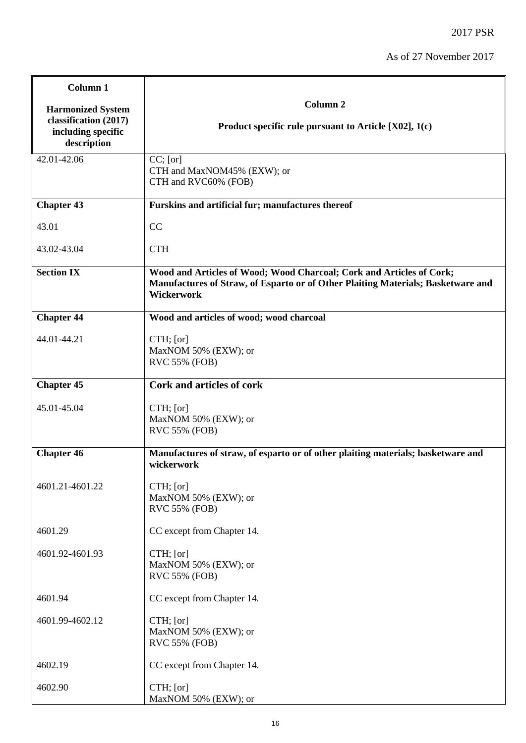| Column 1                                                                               |                                                                                                                                                                               |
|----------------------------------------------------------------------------------------|-------------------------------------------------------------------------------------------------------------------------------------------------------------------------------|
| <b>Harmonized System</b><br>classification (2017)<br>including specific<br>description | <b>Column 2</b><br>Product specific rule pursuant to Article $[X02]$ , 1(c)                                                                                                   |
| 42.01-42.06                                                                            | $CC$ ; [or]<br>CTH and MaxNOM45% (EXW); or<br>CTH and RVC60% (FOB)                                                                                                            |
| <b>Chapter 43</b>                                                                      | Furskins and artificial fur; manufactures thereof                                                                                                                             |
| 43.01                                                                                  | CC                                                                                                                                                                            |
| 43.02-43.04                                                                            | <b>CTH</b>                                                                                                                                                                    |
| <b>Section IX</b>                                                                      | Wood and Articles of Wood; Wood Charcoal; Cork and Articles of Cork;<br>Manufactures of Straw, of Esparto or of Other Plaiting Materials; Basketware and<br><b>Wickerwork</b> |
| <b>Chapter 44</b>                                                                      | Wood and articles of wood; wood charcoal                                                                                                                                      |
| 44.01-44.21                                                                            | CTH; [or]<br>MaxNOM 50% (EXW); or<br>RVC 55% (FOB)                                                                                                                            |
| <b>Chapter 45</b>                                                                      | Cork and articles of cork                                                                                                                                                     |
| 45.01-45.04                                                                            | CTH; [or]<br>MaxNOM 50% (EXW); or<br>RVC 55% (FOB)                                                                                                                            |
| <b>Chapter 46</b>                                                                      | Manufactures of straw, of esparto or of other plaiting materials; basketware and<br>wickerwork                                                                                |
| 4601.21-4601.22                                                                        | $CTH$ ; [or]<br>MaxNOM 50% (EXW); or<br>RVC 55% (FOB)                                                                                                                         |
| 4601.29                                                                                | CC except from Chapter 14.                                                                                                                                                    |
| 4601.92-4601.93                                                                        | CTH; [or]<br>MaxNOM 50% (EXW); or<br><b>RVC 55% (FOB)</b>                                                                                                                     |
| 4601.94                                                                                | CC except from Chapter 14.                                                                                                                                                    |
| 4601.99-4602.12                                                                        | CTH; [or]<br>MaxNOM 50% (EXW); or<br>RVC 55% (FOB)                                                                                                                            |
| 4602.19                                                                                | CC except from Chapter 14.                                                                                                                                                    |
| 4602.90                                                                                | CTH; [or]<br>MaxNOM 50% (EXW); or                                                                                                                                             |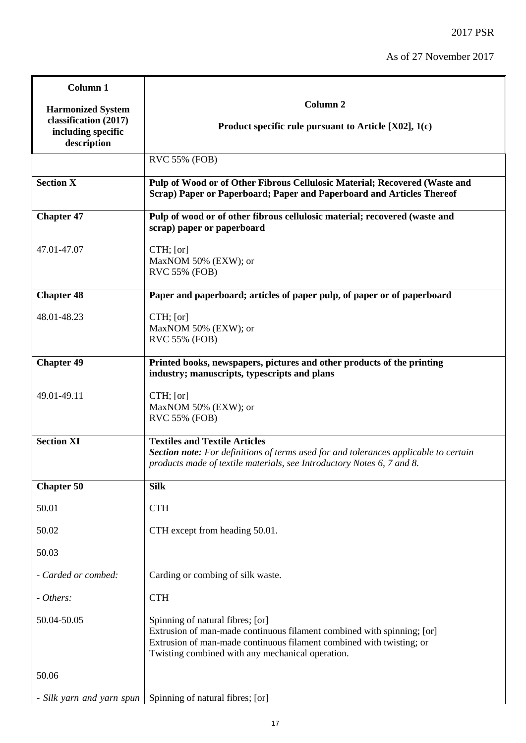÷

| Column 1                                                   |                                                                                                                                                                                                                                        |
|------------------------------------------------------------|----------------------------------------------------------------------------------------------------------------------------------------------------------------------------------------------------------------------------------------|
| <b>Harmonized System</b>                                   | Column <sub>2</sub>                                                                                                                                                                                                                    |
| classification (2017)<br>including specific<br>description | Product specific rule pursuant to Article $[X02]$ , 1(c)                                                                                                                                                                               |
|                                                            | <b>RVC 55% (FOB)</b>                                                                                                                                                                                                                   |
| <b>Section X</b>                                           | Pulp of Wood or of Other Fibrous Cellulosic Material; Recovered (Waste and<br>Scrap) Paper or Paperboard; Paper and Paperboard and Articles Thereof                                                                                    |
| <b>Chapter 47</b>                                          | Pulp of wood or of other fibrous cellulosic material; recovered (waste and<br>scrap) paper or paperboard                                                                                                                               |
| 47.01-47.07                                                | $CTH$ ; [or]<br>MaxNOM 50% (EXW); or<br><b>RVC 55% (FOB)</b>                                                                                                                                                                           |
| <b>Chapter 48</b>                                          | Paper and paperboard; articles of paper pulp, of paper or of paperboard                                                                                                                                                                |
| 48.01-48.23                                                | $CTH$ ; [or]<br>MaxNOM 50% (EXW); or<br><b>RVC 55% (FOB)</b>                                                                                                                                                                           |
| <b>Chapter 49</b>                                          | Printed books, newspapers, pictures and other products of the printing                                                                                                                                                                 |
|                                                            | industry; manuscripts, typescripts and plans                                                                                                                                                                                           |
| 49.01-49.11                                                | CTH; [or]<br>MaxNOM 50% (EXW); or<br><b>RVC 55% (FOB)</b>                                                                                                                                                                              |
| <b>Section XI</b>                                          | <b>Textiles and Textile Articles</b><br><b>Section note:</b> For definitions of terms used for and tolerances applicable to certain<br>products made of textile materials, see Introductory Notes 6, 7 and 8.                          |
| <b>Chapter 50</b>                                          | <b>Silk</b>                                                                                                                                                                                                                            |
| 50.01                                                      | <b>CTH</b>                                                                                                                                                                                                                             |
| 50.02                                                      | CTH except from heading 50.01.                                                                                                                                                                                                         |
| 50.03                                                      |                                                                                                                                                                                                                                        |
| - Carded or combed:                                        | Carding or combing of silk waste.                                                                                                                                                                                                      |
| - Others:                                                  | <b>CTH</b>                                                                                                                                                                                                                             |
| 50.04-50.05                                                | Spinning of natural fibres; [or]<br>Extrusion of man-made continuous filament combined with spinning; [or]<br>Extrusion of man-made continuous filament combined with twisting; or<br>Twisting combined with any mechanical operation. |
| 50.06                                                      |                                                                                                                                                                                                                                        |
| - Silk yarn and yarn spun                                  | Spinning of natural fibres; [or]                                                                                                                                                                                                       |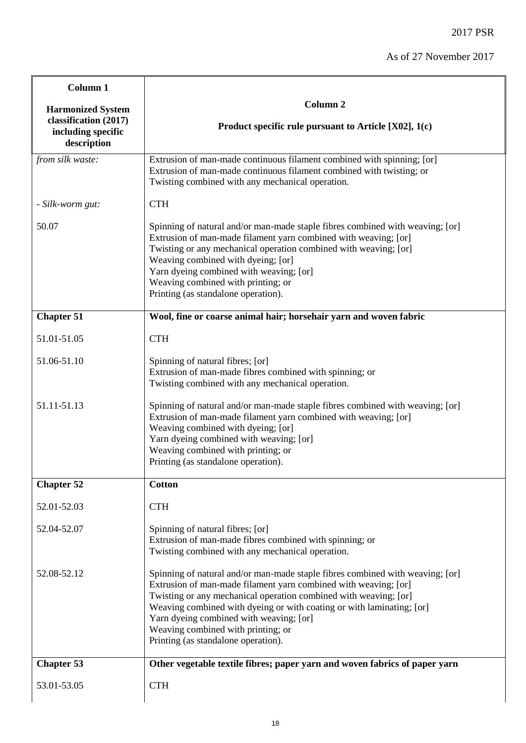| Column 1                                                   |                                                                                                                                                                                                                                                                                                                                                                                                                       |
|------------------------------------------------------------|-----------------------------------------------------------------------------------------------------------------------------------------------------------------------------------------------------------------------------------------------------------------------------------------------------------------------------------------------------------------------------------------------------------------------|
| <b>Harmonized System</b>                                   | Column <sub>2</sub>                                                                                                                                                                                                                                                                                                                                                                                                   |
| classification (2017)<br>including specific<br>description | Product specific rule pursuant to Article $[X02]$ , 1(c)                                                                                                                                                                                                                                                                                                                                                              |
| from silk waste:                                           | Extrusion of man-made continuous filament combined with spinning; [or]<br>Extrusion of man-made continuous filament combined with twisting; or<br>Twisting combined with any mechanical operation.                                                                                                                                                                                                                    |
| - Silk-worm gut:                                           | <b>CTH</b>                                                                                                                                                                                                                                                                                                                                                                                                            |
| 50.07                                                      | Spinning of natural and/or man-made staple fibres combined with weaving; [or]<br>Extrusion of man-made filament yarn combined with weaving; [or]<br>Twisting or any mechanical operation combined with weaving; [or]<br>Weaving combined with dyeing; [or]<br>Yarn dyeing combined with weaving; [or]<br>Weaving combined with printing; or<br>Printing (as standalone operation).                                    |
| <b>Chapter 51</b>                                          | Wool, fine or coarse animal hair; horsehair yarn and woven fabric                                                                                                                                                                                                                                                                                                                                                     |
| 51.01-51.05                                                | <b>CTH</b>                                                                                                                                                                                                                                                                                                                                                                                                            |
| 51.06-51.10                                                | Spinning of natural fibres; [or]<br>Extrusion of man-made fibres combined with spinning; or<br>Twisting combined with any mechanical operation.                                                                                                                                                                                                                                                                       |
| 51.11-51.13                                                | Spinning of natural and/or man-made staple fibres combined with weaving; [or]<br>Extrusion of man-made filament yarn combined with weaving; [or]<br>Weaving combined with dyeing; [or]<br>Yarn dyeing combined with weaving; [or]<br>Weaving combined with printing; or<br>Printing (as standalone operation).                                                                                                        |
| <b>Chapter 52</b>                                          | <b>Cotton</b>                                                                                                                                                                                                                                                                                                                                                                                                         |
| 52.01-52.03                                                | <b>CTH</b>                                                                                                                                                                                                                                                                                                                                                                                                            |
| 52.04-52.07                                                | Spinning of natural fibres; [or]<br>Extrusion of man-made fibres combined with spinning; or<br>Twisting combined with any mechanical operation.                                                                                                                                                                                                                                                                       |
| 52.08-52.12                                                | Spinning of natural and/or man-made staple fibres combined with weaving; [or]<br>Extrusion of man-made filament yarn combined with weaving; [or]<br>Twisting or any mechanical operation combined with weaving; [or]<br>Weaving combined with dyeing or with coating or with laminating; [or]<br>Yarn dyeing combined with weaving; [or]<br>Weaving combined with printing; or<br>Printing (as standalone operation). |
| <b>Chapter 53</b>                                          | Other vegetable textile fibres; paper yarn and woven fabrics of paper yarn                                                                                                                                                                                                                                                                                                                                            |
| 53.01-53.05                                                | <b>CTH</b>                                                                                                                                                                                                                                                                                                                                                                                                            |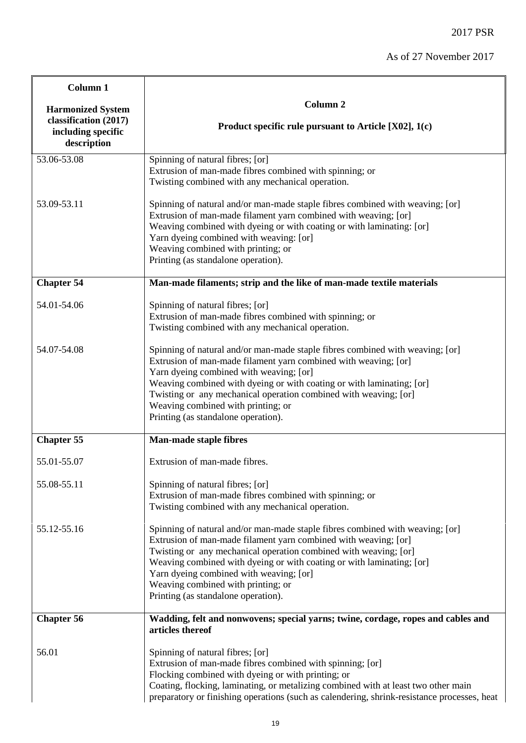| Column 1                                                   |                                                                                                                                                                                                                                                                                                                                                                                                                       |
|------------------------------------------------------------|-----------------------------------------------------------------------------------------------------------------------------------------------------------------------------------------------------------------------------------------------------------------------------------------------------------------------------------------------------------------------------------------------------------------------|
| <b>Harmonized System</b>                                   | Column <sub>2</sub>                                                                                                                                                                                                                                                                                                                                                                                                   |
| classification (2017)<br>including specific<br>description | Product specific rule pursuant to Article $[X02]$ , 1(c)                                                                                                                                                                                                                                                                                                                                                              |
| 53.06-53.08                                                | Spinning of natural fibres; [or]<br>Extrusion of man-made fibres combined with spinning; or<br>Twisting combined with any mechanical operation.                                                                                                                                                                                                                                                                       |
| 53.09-53.11                                                | Spinning of natural and/or man-made staple fibres combined with weaving; [or]<br>Extrusion of man-made filament yarn combined with weaving; [or]<br>Weaving combined with dyeing or with coating or with laminating: [or]<br>Yarn dyeing combined with weaving: [or]<br>Weaving combined with printing; or<br>Printing (as standalone operation).                                                                     |
| <b>Chapter 54</b>                                          | Man-made filaments; strip and the like of man-made textile materials                                                                                                                                                                                                                                                                                                                                                  |
| 54.01-54.06                                                | Spinning of natural fibres; [or]<br>Extrusion of man-made fibres combined with spinning; or<br>Twisting combined with any mechanical operation.                                                                                                                                                                                                                                                                       |
| 54.07-54.08                                                | Spinning of natural and/or man-made staple fibres combined with weaving; [or]<br>Extrusion of man-made filament yarn combined with weaving; [or]<br>Yarn dyeing combined with weaving; [or]<br>Weaving combined with dyeing or with coating or with laminating; [or]<br>Twisting or any mechanical operation combined with weaving; [or]<br>Weaving combined with printing; or<br>Printing (as standalone operation). |
| <b>Chapter 55</b>                                          | <b>Man-made staple fibres</b>                                                                                                                                                                                                                                                                                                                                                                                         |
| 55.01-55.07                                                | Extrusion of man-made fibres.                                                                                                                                                                                                                                                                                                                                                                                         |
| 55.08-55.11                                                | Spinning of natural fibres; [or]<br>Extrusion of man-made fibres combined with spinning; or<br>Twisting combined with any mechanical operation.                                                                                                                                                                                                                                                                       |
| 55.12-55.16                                                | Spinning of natural and/or man-made staple fibres combined with weaving; [or]<br>Extrusion of man-made filament yarn combined with weaving; [or]<br>Twisting or any mechanical operation combined with weaving; [or]<br>Weaving combined with dyeing or with coating or with laminating; [or]<br>Yarn dyeing combined with weaving; [or]<br>Weaving combined with printing; or<br>Printing (as standalone operation). |
| <b>Chapter 56</b>                                          | Wadding, felt and nonwovens; special yarns; twine, cordage, ropes and cables and<br>articles thereof                                                                                                                                                                                                                                                                                                                  |
| 56.01                                                      | Spinning of natural fibres; [or]<br>Extrusion of man-made fibres combined with spinning; [or]<br>Flocking combined with dyeing or with printing; or<br>Coating, flocking, laminating, or metalizing combined with at least two other main<br>preparatory or finishing operations (such as calendering, shrink-resistance processes, heat                                                                              |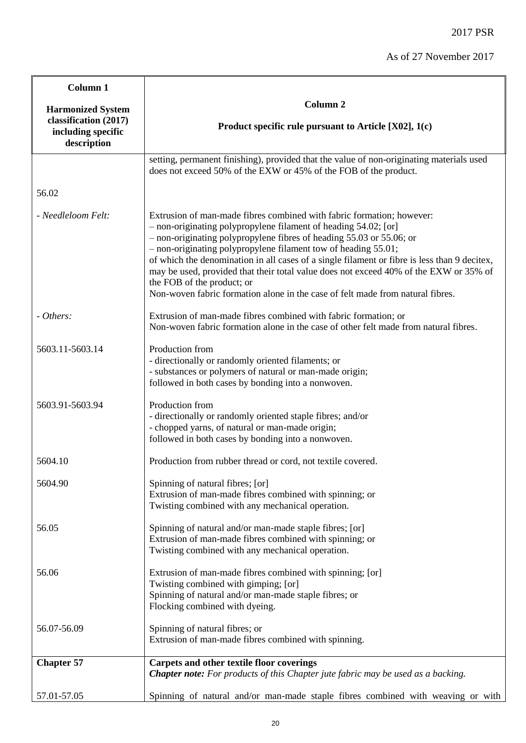| Column 1                                          |                                                                                                                                                                                                                                                                                                                                                                                                                                                                                                                                                                                             |
|---------------------------------------------------|---------------------------------------------------------------------------------------------------------------------------------------------------------------------------------------------------------------------------------------------------------------------------------------------------------------------------------------------------------------------------------------------------------------------------------------------------------------------------------------------------------------------------------------------------------------------------------------------|
| <b>Harmonized System</b><br>classification (2017) | <b>Column 2</b><br>Product specific rule pursuant to Article $[X02]$ , 1(c)                                                                                                                                                                                                                                                                                                                                                                                                                                                                                                                 |
| including specific<br>description                 |                                                                                                                                                                                                                                                                                                                                                                                                                                                                                                                                                                                             |
|                                                   | setting, permanent finishing), provided that the value of non-originating materials used<br>does not exceed 50% of the EXW or 45% of the FOB of the product.                                                                                                                                                                                                                                                                                                                                                                                                                                |
| 56.02                                             |                                                                                                                                                                                                                                                                                                                                                                                                                                                                                                                                                                                             |
| - Needleloom Felt:                                | Extrusion of man-made fibres combined with fabric formation; however:<br>- non-originating polypropylene filament of heading 54.02; [or]<br>- non-originating polypropylene fibres of heading 55.03 or 55.06; or<br>- non-originating polypropylene filament tow of heading 55.01;<br>of which the denomination in all cases of a single filament or fibre is less than 9 decitex,<br>may be used, provided that their total value does not exceed 40% of the EXW or 35% of<br>the FOB of the product; or<br>Non-woven fabric formation alone in the case of felt made from natural fibres. |
| - Others:                                         | Extrusion of man-made fibres combined with fabric formation; or<br>Non-woven fabric formation alone in the case of other felt made from natural fibres.                                                                                                                                                                                                                                                                                                                                                                                                                                     |
| 5603.11-5603.14                                   | Production from<br>- directionally or randomly oriented filaments; or<br>- substances or polymers of natural or man-made origin;<br>followed in both cases by bonding into a nonwoven.                                                                                                                                                                                                                                                                                                                                                                                                      |
| 5603.91-5603.94                                   | Production from<br>- directionally or randomly oriented staple fibres; and/or<br>- chopped yarns, of natural or man-made origin;<br>followed in both cases by bonding into a nonwoven.                                                                                                                                                                                                                                                                                                                                                                                                      |
| 5604.10                                           | Production from rubber thread or cord, not textile covered.                                                                                                                                                                                                                                                                                                                                                                                                                                                                                                                                 |
| 5604.90                                           | Spinning of natural fibres; [or]<br>Extrusion of man-made fibres combined with spinning; or<br>Twisting combined with any mechanical operation.                                                                                                                                                                                                                                                                                                                                                                                                                                             |
| 56.05                                             | Spinning of natural and/or man-made staple fibres; [or]<br>Extrusion of man-made fibres combined with spinning; or<br>Twisting combined with any mechanical operation.                                                                                                                                                                                                                                                                                                                                                                                                                      |
| 56.06                                             | Extrusion of man-made fibres combined with spinning; [or]<br>Twisting combined with gimping; [or]<br>Spinning of natural and/or man-made staple fibres; or<br>Flocking combined with dyeing.                                                                                                                                                                                                                                                                                                                                                                                                |
| 56.07-56.09                                       | Spinning of natural fibres; or<br>Extrusion of man-made fibres combined with spinning.                                                                                                                                                                                                                                                                                                                                                                                                                                                                                                      |
| <b>Chapter 57</b>                                 | Carpets and other textile floor coverings<br><b>Chapter note:</b> For products of this Chapter jute fabric may be used as a backing.                                                                                                                                                                                                                                                                                                                                                                                                                                                        |
| 57.01-57.05                                       | Spinning of natural and/or man-made staple fibres combined with weaving or with                                                                                                                                                                                                                                                                                                                                                                                                                                                                                                             |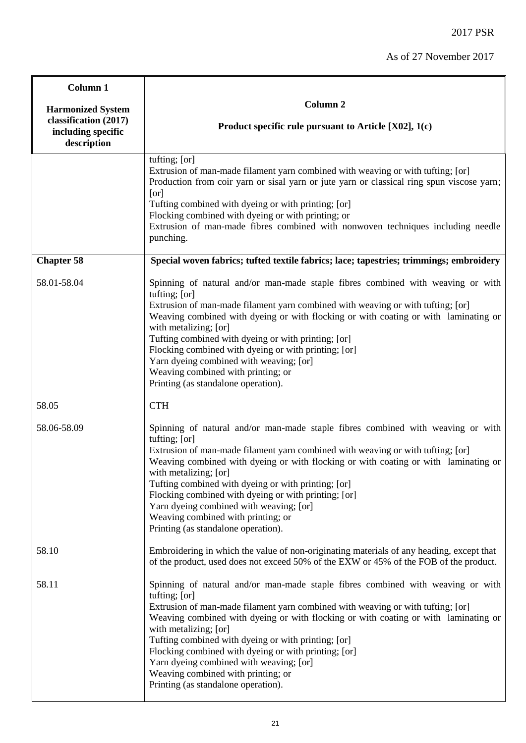| <b>Column 1</b>                                            |                                                                                                                                                                                                                                                                                                                                                                                                                                                                                                                                            |
|------------------------------------------------------------|--------------------------------------------------------------------------------------------------------------------------------------------------------------------------------------------------------------------------------------------------------------------------------------------------------------------------------------------------------------------------------------------------------------------------------------------------------------------------------------------------------------------------------------------|
| <b>Harmonized System</b>                                   | Column <sub>2</sub>                                                                                                                                                                                                                                                                                                                                                                                                                                                                                                                        |
| classification (2017)<br>including specific<br>description | Product specific rule pursuant to Article $[X02]$ , 1(c)                                                                                                                                                                                                                                                                                                                                                                                                                                                                                   |
|                                                            | tufting; [or]<br>Extrusion of man-made filament yarn combined with weaving or with tufting; [or]<br>Production from coir yarn or sisal yarn or jute yarn or classical ring spun viscose yarn;<br>[or]<br>Tufting combined with dyeing or with printing; [or]<br>Flocking combined with dyeing or with printing; or<br>Extrusion of man-made fibres combined with nonwoven techniques including needle<br>punching.                                                                                                                         |
| <b>Chapter 58</b>                                          | Special woven fabrics; tufted textile fabrics; lace; tapestries; trimmings; embroidery                                                                                                                                                                                                                                                                                                                                                                                                                                                     |
| 58.01-58.04                                                | Spinning of natural and/or man-made staple fibres combined with weaving or with<br>tufting; [or]<br>Extrusion of man-made filament yarn combined with weaving or with tufting; [or]<br>Weaving combined with dyeing or with flocking or with coating or with laminating or<br>with metalizing; [or]<br>Tufting combined with dyeing or with printing; [or]<br>Flocking combined with dyeing or with printing; [or]<br>Yarn dyeing combined with weaving; [or]<br>Weaving combined with printing; or<br>Printing (as standalone operation). |
| 58.05                                                      | <b>CTH</b>                                                                                                                                                                                                                                                                                                                                                                                                                                                                                                                                 |
| 58.06-58.09                                                | Spinning of natural and/or man-made staple fibres combined with weaving or with<br>tufting; [or]<br>Extrusion of man-made filament yarn combined with weaving or with tufting; [or]<br>Weaving combined with dyeing or with flocking or with coating or with laminating or<br>with metalizing; [or]<br>Tufting combined with dyeing or with printing; [or]<br>Flocking combined with dyeing or with printing; [or]<br>Yarn dyeing combined with weaving; [or]<br>Weaving combined with printing; or<br>Printing (as standalone operation). |
| 58.10                                                      | Embroidering in which the value of non-originating materials of any heading, except that<br>of the product, used does not exceed 50% of the EXW or 45% of the FOB of the product.                                                                                                                                                                                                                                                                                                                                                          |
| 58.11                                                      | Spinning of natural and/or man-made staple fibres combined with weaving or with<br>tufting; [or]<br>Extrusion of man-made filament yarn combined with weaving or with tufting; [or]<br>Weaving combined with dyeing or with flocking or with coating or with laminating or<br>with metalizing; [or]<br>Tufting combined with dyeing or with printing; [or]<br>Flocking combined with dyeing or with printing; [or]<br>Yarn dyeing combined with weaving; [or]<br>Weaving combined with printing; or<br>Printing (as standalone operation). |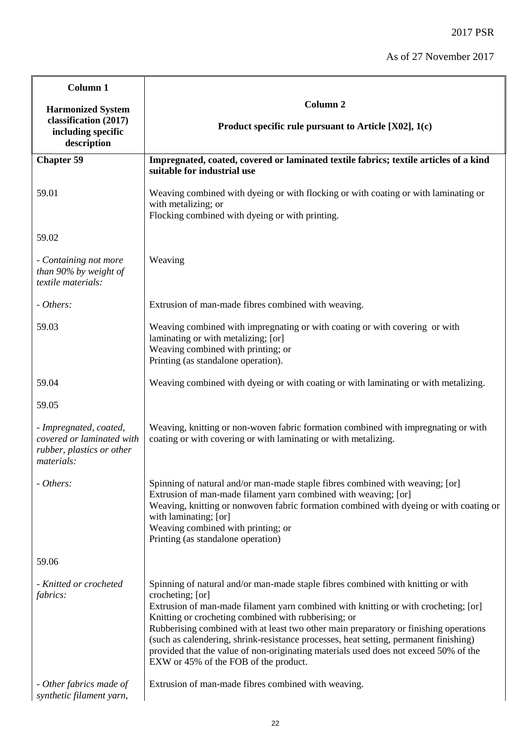| Column 1                                                                                       |                                                                                                                                                                                                                                                                                                                                                                                                                                                                                                                                                                        |
|------------------------------------------------------------------------------------------------|------------------------------------------------------------------------------------------------------------------------------------------------------------------------------------------------------------------------------------------------------------------------------------------------------------------------------------------------------------------------------------------------------------------------------------------------------------------------------------------------------------------------------------------------------------------------|
| <b>Harmonized System</b><br>classification (2017)<br>including specific<br>description         | Column <sub>2</sub>                                                                                                                                                                                                                                                                                                                                                                                                                                                                                                                                                    |
|                                                                                                | Product specific rule pursuant to Article $[X02]$ , 1(c)                                                                                                                                                                                                                                                                                                                                                                                                                                                                                                               |
| <b>Chapter 59</b>                                                                              | Impregnated, coated, covered or laminated textile fabrics; textile articles of a kind<br>suitable for industrial use                                                                                                                                                                                                                                                                                                                                                                                                                                                   |
|                                                                                                |                                                                                                                                                                                                                                                                                                                                                                                                                                                                                                                                                                        |
| 59.01                                                                                          | Weaving combined with dyeing or with flocking or with coating or with laminating or<br>with metalizing; or<br>Flocking combined with dyeing or with printing.                                                                                                                                                                                                                                                                                                                                                                                                          |
| 59.02                                                                                          |                                                                                                                                                                                                                                                                                                                                                                                                                                                                                                                                                                        |
| - Containing not more<br>than 90% by weight of<br>textile materials:                           | Weaving                                                                                                                                                                                                                                                                                                                                                                                                                                                                                                                                                                |
| - Others:                                                                                      | Extrusion of man-made fibres combined with weaving.                                                                                                                                                                                                                                                                                                                                                                                                                                                                                                                    |
| 59.03                                                                                          | Weaving combined with impregnating or with coating or with covering or with<br>laminating or with metalizing; [or]<br>Weaving combined with printing; or<br>Printing (as standalone operation).                                                                                                                                                                                                                                                                                                                                                                        |
| 59.04                                                                                          | Weaving combined with dyeing or with coating or with laminating or with metalizing.                                                                                                                                                                                                                                                                                                                                                                                                                                                                                    |
| 59.05                                                                                          |                                                                                                                                                                                                                                                                                                                                                                                                                                                                                                                                                                        |
| - Impregnated, coated,<br>covered or laminated with<br>rubber, plastics or other<br>materials: | Weaving, knitting or non-woven fabric formation combined with impregnating or with<br>coating or with covering or with laminating or with metalizing.                                                                                                                                                                                                                                                                                                                                                                                                                  |
| - Others:                                                                                      | Spinning of natural and/or man-made staple fibres combined with weaving; [or]<br>Extrusion of man-made filament yarn combined with weaving; [or]<br>Weaving, knitting or nonwoven fabric formation combined with dyeing or with coating or<br>with laminating; [or]<br>Weaving combined with printing; or<br>Printing (as standalone operation)                                                                                                                                                                                                                        |
| 59.06                                                                                          |                                                                                                                                                                                                                                                                                                                                                                                                                                                                                                                                                                        |
| - Knitted or crocheted<br><i>fabrics:</i>                                                      | Spinning of natural and/or man-made staple fibres combined with knitting or with<br>crocheting; [or]<br>Extrusion of man-made filament yarn combined with knitting or with crocheting; [or]<br>Knitting or crocheting combined with rubberising; or<br>Rubberising combined with at least two other main preparatory or finishing operations<br>(such as calendering, shrink-resistance processes, heat setting, permanent finishing)<br>provided that the value of non-originating materials used does not exceed 50% of the<br>EXW or 45% of the FOB of the product. |
| - Other fabrics made of<br>synthetic filament yarn,                                            | Extrusion of man-made fibres combined with weaving.                                                                                                                                                                                                                                                                                                                                                                                                                                                                                                                    |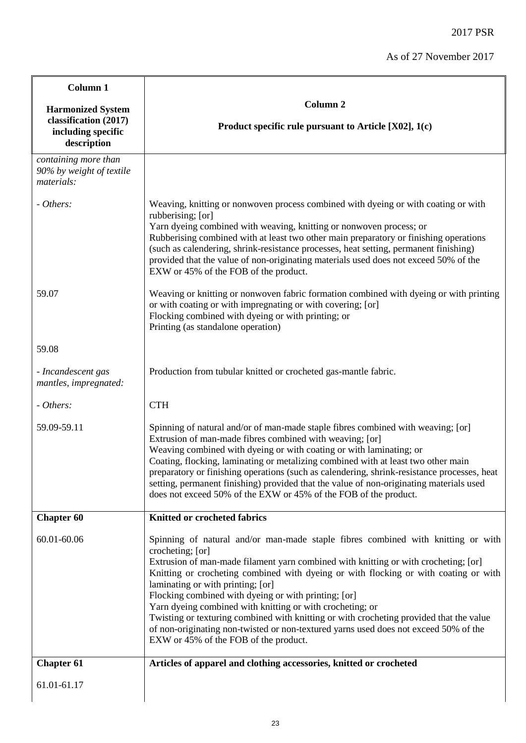| Column 1                                                                               |                                                                                                                                                                                                                                                                                                                                                                                                                                                                                                                                                                                                                                                                           |
|----------------------------------------------------------------------------------------|---------------------------------------------------------------------------------------------------------------------------------------------------------------------------------------------------------------------------------------------------------------------------------------------------------------------------------------------------------------------------------------------------------------------------------------------------------------------------------------------------------------------------------------------------------------------------------------------------------------------------------------------------------------------------|
| <b>Harmonized System</b><br>classification (2017)<br>including specific<br>description | Column <sub>2</sub><br>Product specific rule pursuant to Article $[X02]$ , 1(c)                                                                                                                                                                                                                                                                                                                                                                                                                                                                                                                                                                                           |
| containing more than<br>90% by weight of textile<br>materials:                         |                                                                                                                                                                                                                                                                                                                                                                                                                                                                                                                                                                                                                                                                           |
| - Others:                                                                              | Weaving, knitting or nonwoven process combined with dyeing or with coating or with<br>rubberising; [or]<br>Yarn dyeing combined with weaving, knitting or nonwoven process; or<br>Rubberising combined with at least two other main preparatory or finishing operations<br>(such as calendering, shrink-resistance processes, heat setting, permanent finishing)<br>provided that the value of non-originating materials used does not exceed 50% of the<br>EXW or 45% of the FOB of the product.                                                                                                                                                                         |
| 59.07                                                                                  | Weaving or knitting or nonwoven fabric formation combined with dyeing or with printing<br>or with coating or with impregnating or with covering; [or]<br>Flocking combined with dyeing or with printing; or<br>Printing (as standalone operation)                                                                                                                                                                                                                                                                                                                                                                                                                         |
| 59.08                                                                                  |                                                                                                                                                                                                                                                                                                                                                                                                                                                                                                                                                                                                                                                                           |
| - Incandescent gas<br>mantles, impregnated:                                            | Production from tubular knitted or crocheted gas-mantle fabric.                                                                                                                                                                                                                                                                                                                                                                                                                                                                                                                                                                                                           |
| - Others:                                                                              | <b>CTH</b>                                                                                                                                                                                                                                                                                                                                                                                                                                                                                                                                                                                                                                                                |
| 59.09-59.11                                                                            | Spinning of natural and/or of man-made staple fibres combined with weaving; [or]<br>Extrusion of man-made fibres combined with weaving; [or]<br>Weaving combined with dyeing or with coating or with laminating; or<br>Coating, flocking, laminating or metalizing combined with at least two other main<br>preparatory or finishing operations (such as calendering, shrink-resistance processes, heat<br>setting, permanent finishing) provided that the value of non-originating materials used<br>does not exceed 50% of the EXW or 45% of the FOB of the product.                                                                                                    |
| <b>Chapter 60</b>                                                                      | <b>Knitted or crocheted fabrics</b>                                                                                                                                                                                                                                                                                                                                                                                                                                                                                                                                                                                                                                       |
| 60.01-60.06                                                                            | Spinning of natural and/or man-made staple fibres combined with knitting or with<br>crocheting; [or]<br>Extrusion of man-made filament yarn combined with knitting or with crocheting; [or]<br>Knitting or crocheting combined with dyeing or with flocking or with coating or with<br>laminating or with printing; [or]<br>Flocking combined with dyeing or with printing; [or]<br>Yarn dyeing combined with knitting or with crocheting; or<br>Twisting or texturing combined with knitting or with crocheting provided that the value<br>of non-originating non-twisted or non-textured yarns used does not exceed 50% of the<br>EXW or 45% of the FOB of the product. |
| <b>Chapter 61</b>                                                                      | Articles of apparel and clothing accessories, knitted or crocheted                                                                                                                                                                                                                                                                                                                                                                                                                                                                                                                                                                                                        |
| 61.01-61.17                                                                            |                                                                                                                                                                                                                                                                                                                                                                                                                                                                                                                                                                                                                                                                           |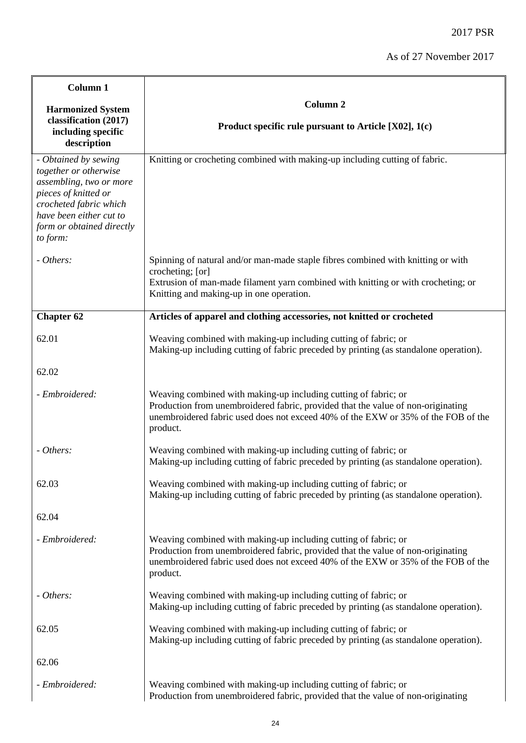| Column 1                                                                                                                                                                                       |                                                                                                                                                                                                                                                      |
|------------------------------------------------------------------------------------------------------------------------------------------------------------------------------------------------|------------------------------------------------------------------------------------------------------------------------------------------------------------------------------------------------------------------------------------------------------|
| <b>Harmonized System</b>                                                                                                                                                                       | Column <sub>2</sub>                                                                                                                                                                                                                                  |
| classification (2017)<br>including specific<br>description                                                                                                                                     | Product specific rule pursuant to Article [X02], 1(c)                                                                                                                                                                                                |
| - Obtained by sewing<br>together or otherwise<br>assembling, two or more<br>pieces of knitted or<br>crocheted fabric which<br>have been either cut to<br>form or obtained directly<br>to form: | Knitting or crocheting combined with making-up including cutting of fabric.                                                                                                                                                                          |
| - Others:                                                                                                                                                                                      | Spinning of natural and/or man-made staple fibres combined with knitting or with<br>crocheting; [or]                                                                                                                                                 |
|                                                                                                                                                                                                | Extrusion of man-made filament yarn combined with knitting or with crocheting; or<br>Knitting and making-up in one operation.                                                                                                                        |
| <b>Chapter 62</b>                                                                                                                                                                              | Articles of apparel and clothing accessories, not knitted or crocheted                                                                                                                                                                               |
| 62.01                                                                                                                                                                                          | Weaving combined with making-up including cutting of fabric; or<br>Making-up including cutting of fabric preceded by printing (as standalone operation).                                                                                             |
| 62.02                                                                                                                                                                                          |                                                                                                                                                                                                                                                      |
| - Embroidered:                                                                                                                                                                                 | Weaving combined with making-up including cutting of fabric; or<br>Production from unembroidered fabric, provided that the value of non-originating<br>unembroidered fabric used does not exceed 40% of the EXW or 35% of the FOB of the<br>product. |
| - Others:                                                                                                                                                                                      | Weaving combined with making-up including cutting of fabric; or<br>Making-up including cutting of fabric preceded by printing (as standalone operation).                                                                                             |
| 62.03                                                                                                                                                                                          | Weaving combined with making-up including cutting of fabric; or<br>Making-up including cutting of fabric preceded by printing (as standalone operation).                                                                                             |
| 62.04                                                                                                                                                                                          |                                                                                                                                                                                                                                                      |
| - Embroidered:                                                                                                                                                                                 | Weaving combined with making-up including cutting of fabric; or<br>Production from unembroidered fabric, provided that the value of non-originating<br>unembroidered fabric used does not exceed 40% of the EXW or 35% of the FOB of the<br>product. |
| - Others:                                                                                                                                                                                      | Weaving combined with making-up including cutting of fabric; or<br>Making-up including cutting of fabric preceded by printing (as standalone operation).                                                                                             |
| 62.05                                                                                                                                                                                          | Weaving combined with making-up including cutting of fabric; or<br>Making-up including cutting of fabric preceded by printing (as standalone operation).                                                                                             |
| 62.06                                                                                                                                                                                          |                                                                                                                                                                                                                                                      |
| - Embroidered:                                                                                                                                                                                 | Weaving combined with making-up including cutting of fabric; or<br>Production from unembroidered fabric, provided that the value of non-originating                                                                                                  |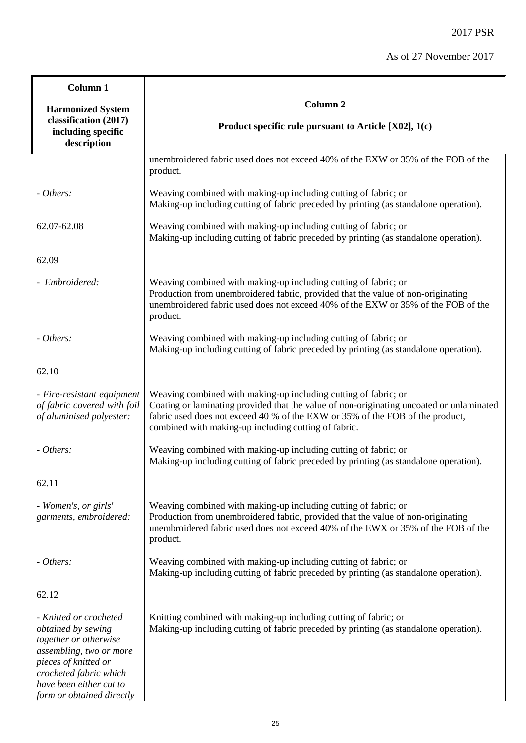| Column 1                                                                                                                                                                      |                                                                                                                                                                                                                                                                                                      |
|-------------------------------------------------------------------------------------------------------------------------------------------------------------------------------|------------------------------------------------------------------------------------------------------------------------------------------------------------------------------------------------------------------------------------------------------------------------------------------------------|
| <b>Harmonized System</b>                                                                                                                                                      | Column <sub>2</sub>                                                                                                                                                                                                                                                                                  |
| classification (2017)<br>including specific<br>description                                                                                                                    | Product specific rule pursuant to Article [X02], 1(c)                                                                                                                                                                                                                                                |
|                                                                                                                                                                               | unembroidered fabric used does not exceed 40% of the EXW or 35% of the FOB of the<br>product.                                                                                                                                                                                                        |
| - Others:                                                                                                                                                                     | Weaving combined with making-up including cutting of fabric; or<br>Making-up including cutting of fabric preceded by printing (as standalone operation).                                                                                                                                             |
| 62.07-62.08                                                                                                                                                                   | Weaving combined with making-up including cutting of fabric; or<br>Making-up including cutting of fabric preceded by printing (as standalone operation).                                                                                                                                             |
| 62.09                                                                                                                                                                         |                                                                                                                                                                                                                                                                                                      |
| - Embroidered:                                                                                                                                                                | Weaving combined with making-up including cutting of fabric; or<br>Production from unembroidered fabric, provided that the value of non-originating<br>unembroidered fabric used does not exceed 40% of the EXW or 35% of the FOB of the<br>product.                                                 |
| - Others:                                                                                                                                                                     | Weaving combined with making-up including cutting of fabric; or<br>Making-up including cutting of fabric preceded by printing (as standalone operation).                                                                                                                                             |
| 62.10                                                                                                                                                                         |                                                                                                                                                                                                                                                                                                      |
| - Fire-resistant equipment<br>of fabric covered with foil<br>of aluminised polyester:                                                                                         | Weaving combined with making-up including cutting of fabric; or<br>Coating or laminating provided that the value of non-originating uncoated or unlaminated<br>fabric used does not exceed 40 % of the EXW or 35% of the FOB of the product,<br>combined with making-up including cutting of fabric. |
| - Others:                                                                                                                                                                     | Weaving combined with making-up including cutting of fabric; or<br>Making-up including cutting of fabric preceded by printing (as standalone operation).                                                                                                                                             |
| 62.11                                                                                                                                                                         |                                                                                                                                                                                                                                                                                                      |
| - Women's, or girls'<br>garments, embroidered:                                                                                                                                | Weaving combined with making-up including cutting of fabric; or<br>Production from unembroidered fabric, provided that the value of non-originating<br>unembroidered fabric used does not exceed 40% of the EWX or 35% of the FOB of the<br>product.                                                 |
| - Others:                                                                                                                                                                     | Weaving combined with making-up including cutting of fabric; or<br>Making-up including cutting of fabric preceded by printing (as standalone operation).                                                                                                                                             |
| 62.12                                                                                                                                                                         |                                                                                                                                                                                                                                                                                                      |
| - Knitted or crocheted<br>obtained by sewing<br>together or otherwise<br>assembling, two or more<br>pieces of knitted or<br>crocheted fabric which<br>have been either cut to | Knitting combined with making-up including cutting of fabric; or<br>Making-up including cutting of fabric preceded by printing (as standalone operation).                                                                                                                                            |

*form or obtained directly*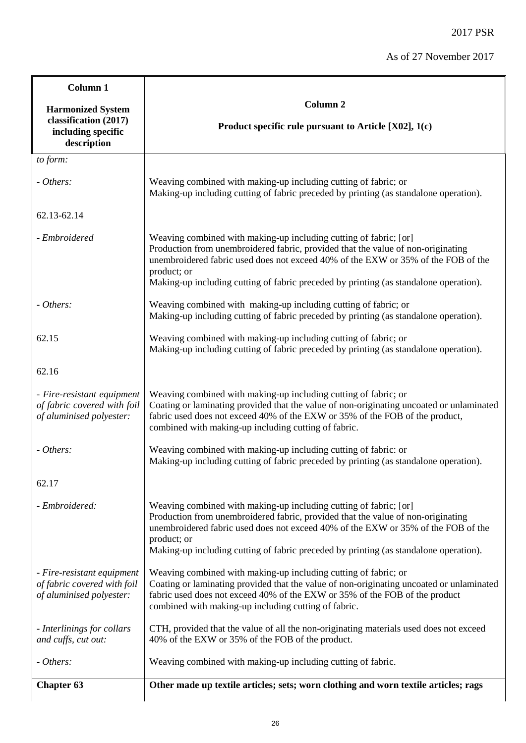| Column <sub>1</sub>                                                                    |                                                                                                                                                                                                                                                                                                                                                    |
|----------------------------------------------------------------------------------------|----------------------------------------------------------------------------------------------------------------------------------------------------------------------------------------------------------------------------------------------------------------------------------------------------------------------------------------------------|
| <b>Harmonized System</b><br>classification (2017)<br>including specific<br>description | Column <sub>2</sub><br>Product specific rule pursuant to Article [X02], 1(c)                                                                                                                                                                                                                                                                       |
| to form:                                                                               |                                                                                                                                                                                                                                                                                                                                                    |
| - Others:                                                                              | Weaving combined with making-up including cutting of fabric; or<br>Making-up including cutting of fabric preceded by printing (as standalone operation).                                                                                                                                                                                           |
| 62.13-62.14                                                                            |                                                                                                                                                                                                                                                                                                                                                    |
| - Embroidered                                                                          | Weaving combined with making-up including cutting of fabric; [or]<br>Production from unembroidered fabric, provided that the value of non-originating<br>unembroidered fabric used does not exceed 40% of the EXW or 35% of the FOB of the<br>product; or<br>Making-up including cutting of fabric preceded by printing (as standalone operation). |
| - Others:                                                                              | Weaving combined with making-up including cutting of fabric; or<br>Making-up including cutting of fabric preceded by printing (as standalone operation).                                                                                                                                                                                           |
| 62.15                                                                                  | Weaving combined with making-up including cutting of fabric; or<br>Making-up including cutting of fabric preceded by printing (as standalone operation).                                                                                                                                                                                           |
| 62.16                                                                                  |                                                                                                                                                                                                                                                                                                                                                    |
| - Fire-resistant equipment<br>of fabric covered with foil<br>of aluminised polyester:  | Weaving combined with making-up including cutting of fabric; or<br>Coating or laminating provided that the value of non-originating uncoated or unlaminated<br>fabric used does not exceed 40% of the EXW or 35% of the FOB of the product,<br>combined with making-up including cutting of fabric.                                                |
| - Others:                                                                              | Weaving combined with making-up including cutting of fabric: or<br>Making-up including cutting of fabric preceded by printing (as standalone operation).                                                                                                                                                                                           |
| 62.17                                                                                  |                                                                                                                                                                                                                                                                                                                                                    |
| - Embroidered:                                                                         | Weaving combined with making-up including cutting of fabric; [or]<br>Production from unembroidered fabric, provided that the value of non-originating<br>unembroidered fabric used does not exceed 40% of the EXW or 35% of the FOB of the<br>product; or<br>Making-up including cutting of fabric preceded by printing (as standalone operation). |
| - Fire-resistant equipment<br>of fabric covered with foil<br>of aluminised polyester:  | Weaving combined with making-up including cutting of fabric; or<br>Coating or laminating provided that the value of non-originating uncoated or unlaminated<br>fabric used does not exceed 40% of the EXW or 35% of the FOB of the product<br>combined with making-up including cutting of fabric.                                                 |
| - Interlinings for collars<br>and cuffs, cut out:                                      | CTH, provided that the value of all the non-originating materials used does not exceed<br>40% of the EXW or 35% of the FOB of the product.                                                                                                                                                                                                         |
| - Others:                                                                              | Weaving combined with making-up including cutting of fabric.                                                                                                                                                                                                                                                                                       |
| <b>Chapter 63</b>                                                                      | Other made up textile articles; sets; worn clothing and worn textile articles; rags                                                                                                                                                                                                                                                                |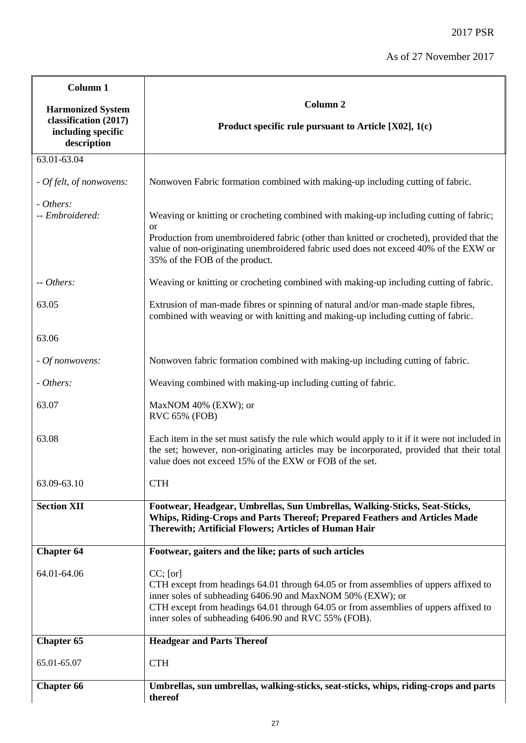| Column 1                                                                               |                                                                                                                                                                                                                                                                                                                   |
|----------------------------------------------------------------------------------------|-------------------------------------------------------------------------------------------------------------------------------------------------------------------------------------------------------------------------------------------------------------------------------------------------------------------|
| <b>Harmonized System</b><br>classification (2017)<br>including specific<br>description | Column <sub>2</sub><br>Product specific rule pursuant to Article [X02], 1(c)                                                                                                                                                                                                                                      |
| 63.01-63.04                                                                            |                                                                                                                                                                                                                                                                                                                   |
| - Of felt, of nonwovens:                                                               | Nonwoven Fabric formation combined with making-up including cutting of fabric.                                                                                                                                                                                                                                    |
| - Others:<br>-- Embroidered:                                                           | Weaving or knitting or crocheting combined with making-up including cutting of fabric;<br><b>or</b>                                                                                                                                                                                                               |
|                                                                                        | Production from unembroidered fabric (other than knitted or crocheted), provided that the<br>value of non-originating unembroidered fabric used does not exceed 40% of the EXW or<br>35% of the FOB of the product.                                                                                               |
| -- Others:                                                                             | Weaving or knitting or crocheting combined with making-up including cutting of fabric.                                                                                                                                                                                                                            |
| 63.05                                                                                  | Extrusion of man-made fibres or spinning of natural and/or man-made staple fibres,<br>combined with weaving or with knitting and making-up including cutting of fabric.                                                                                                                                           |
| 63.06                                                                                  |                                                                                                                                                                                                                                                                                                                   |
| - Of nonwovens:                                                                        | Nonwoven fabric formation combined with making-up including cutting of fabric.                                                                                                                                                                                                                                    |
| - Others:                                                                              | Weaving combined with making-up including cutting of fabric.                                                                                                                                                                                                                                                      |
| 63.07                                                                                  | MaxNOM 40% (EXW); or<br>RVC 65% (FOB)                                                                                                                                                                                                                                                                             |
| 63.08                                                                                  | Each item in the set must satisfy the rule which would apply to it if it were not included in<br>the set; however, non-originating articles may be incorporated, provided that their total<br>value does not exceed 15% of the EXW or FOB of the set.                                                             |
| 63.09-63.10                                                                            | <b>CTH</b>                                                                                                                                                                                                                                                                                                        |
| <b>Section XII</b>                                                                     | Footwear, Headgear, Umbrellas, Sun Umbrellas, Walking-Sticks, Seat-Sticks,<br>Whips, Riding-Crops and Parts Thereof; Prepared Feathers and Articles Made<br>Therewith; Artificial Flowers; Articles of Human Hair                                                                                                 |
| <b>Chapter 64</b>                                                                      | Footwear, gaiters and the like; parts of such articles                                                                                                                                                                                                                                                            |
| 64.01-64.06                                                                            | $CC$ ; [or]<br>CTH except from headings 64.01 through 64.05 or from assemblies of uppers affixed to<br>inner soles of subheading 6406.90 and MaxNOM 50% (EXW); or<br>CTH except from headings 64.01 through 64.05 or from assemblies of uppers affixed to<br>inner soles of subheading 6406.90 and RVC 55% (FOB). |
| <b>Chapter 65</b>                                                                      | <b>Headgear and Parts Thereof</b>                                                                                                                                                                                                                                                                                 |
| 65.01-65.07                                                                            | <b>CTH</b>                                                                                                                                                                                                                                                                                                        |
| <b>Chapter 66</b>                                                                      | Umbrellas, sun umbrellas, walking-sticks, seat-sticks, whips, riding-crops and parts<br>thereof                                                                                                                                                                                                                   |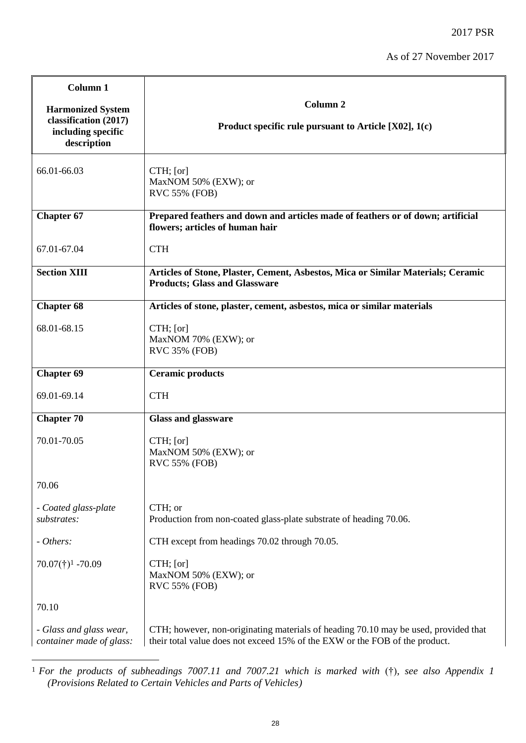2017 PSR

| Column 1                                                                               |                                                                                                                                                                    |
|----------------------------------------------------------------------------------------|--------------------------------------------------------------------------------------------------------------------------------------------------------------------|
| <b>Harmonized System</b><br>classification (2017)<br>including specific<br>description | Column <sub>2</sub><br>Product specific rule pursuant to Article [X02], 1(c)                                                                                       |
| 66.01-66.03                                                                            | $CTH$ ; [or]<br>MaxNOM 50% (EXW); or<br>RVC 55% (FOB)                                                                                                              |
| <b>Chapter 67</b>                                                                      | Prepared feathers and down and articles made of feathers or of down; artificial<br>flowers; articles of human hair                                                 |
| 67.01-67.04                                                                            | <b>CTH</b>                                                                                                                                                         |
| <b>Section XIII</b>                                                                    | Articles of Stone, Plaster, Cement, Asbestos, Mica or Similar Materials; Ceramic<br><b>Products; Glass and Glassware</b>                                           |
| Chapter 68                                                                             | Articles of stone, plaster, cement, asbestos, mica or similar materials                                                                                            |
| 68.01-68.15                                                                            | $CTH$ ; [or]<br>MaxNOM 70% (EXW); or<br>RVC 35% (FOB)                                                                                                              |
| <b>Chapter 69</b>                                                                      | <b>Ceramic products</b>                                                                                                                                            |
| 69.01-69.14                                                                            | <b>CTH</b>                                                                                                                                                         |
| <b>Chapter 70</b>                                                                      | <b>Glass and glassware</b>                                                                                                                                         |
| 70.01-70.05                                                                            | $CTH$ ; [or]<br>MaxNOM 50% (EXW); or<br><b>RVC 55% (FOB)</b>                                                                                                       |
| 70.06                                                                                  |                                                                                                                                                                    |
| - Coated glass-plate<br>substrates:                                                    | CTH; or<br>Production from non-coated glass-plate substrate of heading 70.06.                                                                                      |
| - Others:                                                                              | CTH except from headings 70.02 through 70.05.                                                                                                                      |
| $70.07(\dagger)^1$ -70.09                                                              | CTH; [or]<br>MaxNOM 50% (EXW); or<br><b>RVC 55% (FOB)</b>                                                                                                          |
| 70.10                                                                                  |                                                                                                                                                                    |
| - Glass and glass wear,<br>container made of glass:                                    | CTH; however, non-originating materials of heading 70.10 may be used, provided that<br>their total value does not exceed 15% of the EXW or the FOB of the product. |

<sup>1</sup> <sup>1</sup> *For the products of subheadings 7007.11 and 7007.21 which is marked with* (†)*, see also Appendix 1 (Provisions Related to Certain Vehicles and Parts of Vehicles)*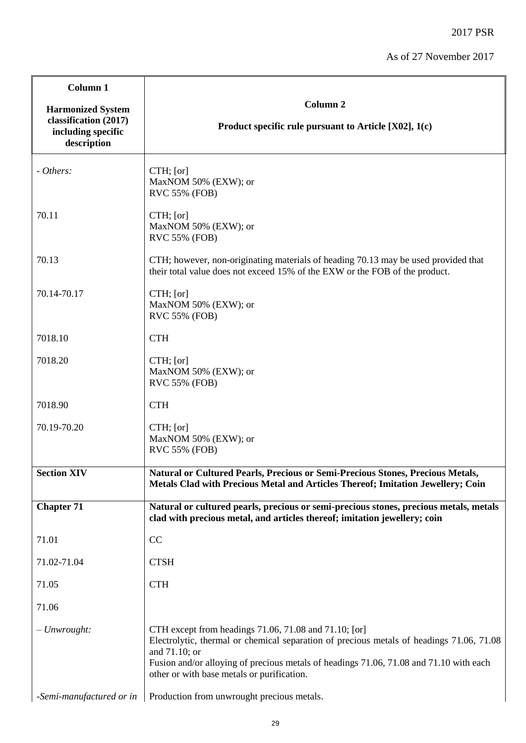| Column 1                                                                               |                                                                                                                                                                                                                                                                                                            |
|----------------------------------------------------------------------------------------|------------------------------------------------------------------------------------------------------------------------------------------------------------------------------------------------------------------------------------------------------------------------------------------------------------|
| <b>Harmonized System</b><br>classification (2017)<br>including specific<br>description | Column <sub>2</sub><br>Product specific rule pursuant to Article [X02], 1(c)                                                                                                                                                                                                                               |
| - Others:                                                                              | CTH; [or]<br>MaxNOM 50% (EXW); or<br><b>RVC 55% (FOB)</b>                                                                                                                                                                                                                                                  |
| 70.11                                                                                  | CTH; [or]<br>MaxNOM 50% (EXW); or<br>RVC 55% (FOB)                                                                                                                                                                                                                                                         |
| 70.13                                                                                  | CTH; however, non-originating materials of heading 70.13 may be used provided that<br>their total value does not exceed 15% of the EXW or the FOB of the product.                                                                                                                                          |
| 70.14-70.17                                                                            | CTH; [or]<br>MaxNOM 50% (EXW); or<br>RVC 55% (FOB)                                                                                                                                                                                                                                                         |
| 7018.10                                                                                | <b>CTH</b>                                                                                                                                                                                                                                                                                                 |
| 7018.20                                                                                | $CTH$ ; [or]<br>MaxNOM 50% (EXW); or<br>RVC 55% (FOB)                                                                                                                                                                                                                                                      |
| 7018.90                                                                                | <b>CTH</b>                                                                                                                                                                                                                                                                                                 |
| 70.19-70.20                                                                            | $CTH$ ; [or]<br>MaxNOM 50% (EXW); or<br>RVC 55% (FOB)                                                                                                                                                                                                                                                      |
| <b>Section XIV</b>                                                                     | Natural or Cultured Pearls, Precious or Semi-Precious Stones, Precious Metals,<br><b>Metals Clad with Precious Metal and Articles Thereof; Imitation Jewellery; Coin</b>                                                                                                                                   |
| <b>Chapter 71</b>                                                                      | Natural or cultured pearls, precious or semi-precious stones, precious metals, metals<br>clad with precious metal, and articles thereof; imitation jewellery; coin                                                                                                                                         |
| 71.01                                                                                  | CC                                                                                                                                                                                                                                                                                                         |
| 71.02-71.04                                                                            | <b>CTSH</b>                                                                                                                                                                                                                                                                                                |
| 71.05                                                                                  | <b>CTH</b>                                                                                                                                                                                                                                                                                                 |
| 71.06                                                                                  |                                                                                                                                                                                                                                                                                                            |
| $-$ Unwrought:                                                                         | CTH except from headings 71.06, 71.08 and 71.10; [or]<br>Electrolytic, thermal or chemical separation of precious metals of headings 71.06, 71.08<br>and 71.10; or<br>Fusion and/or alloying of precious metals of headings 71.06, 71.08 and 71.10 with each<br>other or with base metals or purification. |
| -Semi-manufactured or in                                                               | Production from unwrought precious metals.                                                                                                                                                                                                                                                                 |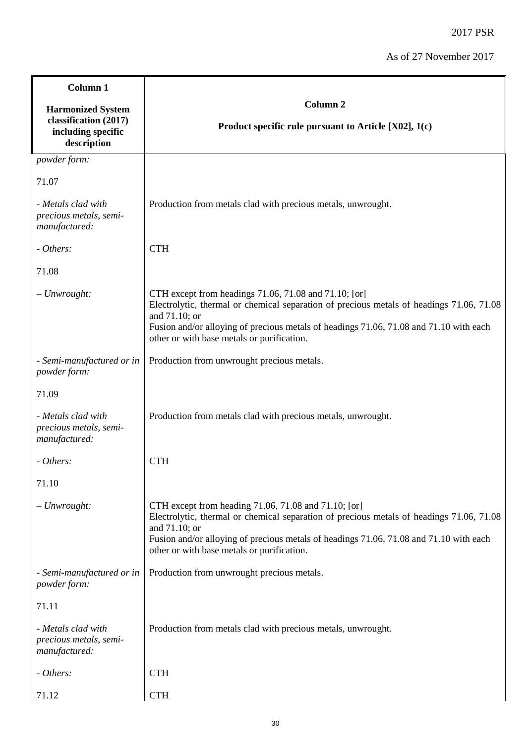| Column 1                                                                               |                                                                                                                                                                                                                                                                                                            |
|----------------------------------------------------------------------------------------|------------------------------------------------------------------------------------------------------------------------------------------------------------------------------------------------------------------------------------------------------------------------------------------------------------|
| <b>Harmonized System</b><br>classification (2017)<br>including specific<br>description | Column <sub>2</sub><br>Product specific rule pursuant to Article $[X02]$ , 1(c)                                                                                                                                                                                                                            |
| powder form:                                                                           |                                                                                                                                                                                                                                                                                                            |
| 71.07                                                                                  |                                                                                                                                                                                                                                                                                                            |
| - Metals clad with<br>precious metals, semi-<br>manufactured:                          | Production from metals clad with precious metals, unwrought.                                                                                                                                                                                                                                               |
| - Others:                                                                              | <b>CTH</b>                                                                                                                                                                                                                                                                                                 |
| 71.08                                                                                  |                                                                                                                                                                                                                                                                                                            |
| $-$ Unwrought:                                                                         | CTH except from headings 71.06, 71.08 and 71.10; [or]<br>Electrolytic, thermal or chemical separation of precious metals of headings 71.06, 71.08<br>and 71.10; or<br>Fusion and/or alloying of precious metals of headings 71.06, 71.08 and 71.10 with each<br>other or with base metals or purification. |
| - Semi-manufactured or in<br>powder form:                                              | Production from unwrought precious metals.                                                                                                                                                                                                                                                                 |
| 71.09                                                                                  |                                                                                                                                                                                                                                                                                                            |
| - Metals clad with<br>precious metals, semi-<br>manufactured:                          | Production from metals clad with precious metals, unwrought.                                                                                                                                                                                                                                               |
| - Others:                                                                              | <b>CTH</b>                                                                                                                                                                                                                                                                                                 |
| 71.10                                                                                  |                                                                                                                                                                                                                                                                                                            |
| $-$ Unwrought:                                                                         | CTH except from heading 71.06, 71.08 and 71.10; [or]<br>Electrolytic, thermal or chemical separation of precious metals of headings 71.06, 71.08<br>and 71.10; or<br>Fusion and/or alloying of precious metals of headings 71.06, 71.08 and 71.10 with each<br>other or with base metals or purification.  |
| - Semi-manufactured or in<br>powder form:                                              | Production from unwrought precious metals.                                                                                                                                                                                                                                                                 |
| 71.11                                                                                  |                                                                                                                                                                                                                                                                                                            |
| - Metals clad with<br>precious metals, semi-<br>manufactured:                          | Production from metals clad with precious metals, unwrought.                                                                                                                                                                                                                                               |
| - Others:                                                                              | <b>CTH</b>                                                                                                                                                                                                                                                                                                 |
| 71.12                                                                                  | <b>CTH</b>                                                                                                                                                                                                                                                                                                 |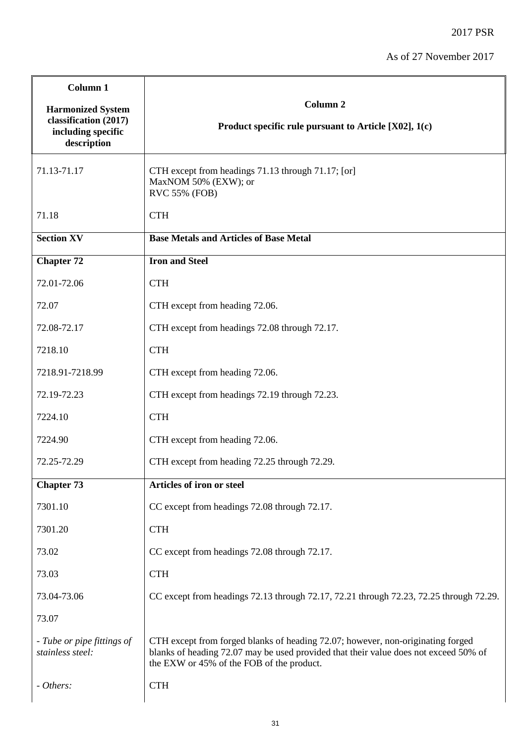| Column <sub>1</sub>                                                                    |                                                                                                                                                                                                                      |
|----------------------------------------------------------------------------------------|----------------------------------------------------------------------------------------------------------------------------------------------------------------------------------------------------------------------|
| <b>Harmonized System</b><br>classification (2017)<br>including specific<br>description | Column <sub>2</sub><br>Product specific rule pursuant to Article [X02], 1(c)                                                                                                                                         |
| 71.13-71.17                                                                            | CTH except from headings 71.13 through 71.17; [or]<br>MaxNOM 50% (EXW); or<br><b>RVC 55% (FOB)</b>                                                                                                                   |
| 71.18                                                                                  | <b>CTH</b>                                                                                                                                                                                                           |
| <b>Section XV</b>                                                                      | <b>Base Metals and Articles of Base Metal</b>                                                                                                                                                                        |
| <b>Chapter 72</b>                                                                      | <b>Iron and Steel</b>                                                                                                                                                                                                |
| 72.01-72.06                                                                            | <b>CTH</b>                                                                                                                                                                                                           |
| 72.07                                                                                  | CTH except from heading 72.06.                                                                                                                                                                                       |
| 72.08-72.17                                                                            | CTH except from headings 72.08 through 72.17.                                                                                                                                                                        |
| 7218.10                                                                                | <b>CTH</b>                                                                                                                                                                                                           |
| 7218.91-7218.99                                                                        | CTH except from heading 72.06.                                                                                                                                                                                       |
| 72.19-72.23                                                                            | CTH except from headings 72.19 through 72.23.                                                                                                                                                                        |
| 7224.10                                                                                | <b>CTH</b>                                                                                                                                                                                                           |
| 7224.90                                                                                | CTH except from heading 72.06.                                                                                                                                                                                       |
| 72.25-72.29                                                                            | CTH except from heading 72.25 through 72.29.                                                                                                                                                                         |
| <b>Chapter 73</b>                                                                      | Articles of iron or steel                                                                                                                                                                                            |
| 7301.10                                                                                | CC except from headings 72.08 through 72.17.                                                                                                                                                                         |
| 7301.20                                                                                | <b>CTH</b>                                                                                                                                                                                                           |
| 73.02                                                                                  | CC except from headings 72.08 through 72.17.                                                                                                                                                                         |
| 73.03                                                                                  | <b>CTH</b>                                                                                                                                                                                                           |
| 73.04-73.06                                                                            | CC except from headings 72.13 through 72.17, 72.21 through 72.23, 72.25 through 72.29.                                                                                                                               |
| 73.07                                                                                  |                                                                                                                                                                                                                      |
| - Tube or pipe fittings of<br>stainless steel:                                         | CTH except from forged blanks of heading 72.07; however, non-originating forged<br>blanks of heading 72.07 may be used provided that their value does not exceed 50% of<br>the EXW or 45% of the FOB of the product. |
| - Others:                                                                              | <b>CTH</b>                                                                                                                                                                                                           |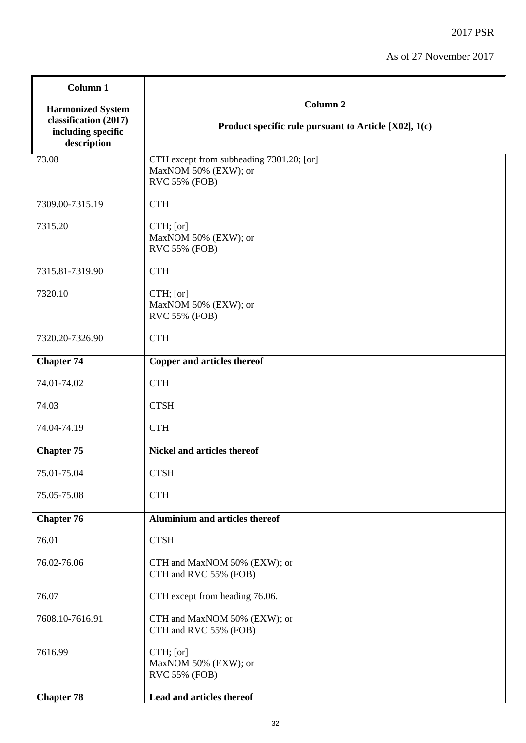| Column 1                                                                               |                                                                                   |
|----------------------------------------------------------------------------------------|-----------------------------------------------------------------------------------|
| <b>Harmonized System</b><br>classification (2017)<br>including specific<br>description | Column <sub>2</sub><br>Product specific rule pursuant to Article [X02], 1(c)      |
| 73.08                                                                                  | CTH except from subheading 7301.20; [or]<br>MaxNOM 50% (EXW); or<br>RVC 55% (FOB) |
| 7309.00-7315.19                                                                        | <b>CTH</b>                                                                        |
| 7315.20                                                                                | $CTH$ ; [or]<br>MaxNOM 50% (EXW); or<br>RVC 55% (FOB)                             |
| 7315.81-7319.90                                                                        | <b>CTH</b>                                                                        |
| 7320.10                                                                                | CTH; [or]<br>MaxNOM 50% (EXW); or<br>RVC 55% (FOB)                                |
| 7320.20-7326.90                                                                        | <b>CTH</b>                                                                        |
| <b>Chapter 74</b>                                                                      | Copper and articles thereof                                                       |
| 74.01-74.02                                                                            | <b>CTH</b>                                                                        |
| 74.03                                                                                  | <b>CTSH</b>                                                                       |
| 74.04-74.19                                                                            | <b>CTH</b>                                                                        |
| <b>Chapter 75</b>                                                                      | <b>Nickel and articles thereof</b>                                                |
| 75.01-75.04                                                                            | <b>CTSH</b>                                                                       |
| 75.05-75.08                                                                            | <b>CTH</b>                                                                        |
| <b>Chapter 76</b>                                                                      | <b>Aluminium and articles thereof</b>                                             |
| 76.01                                                                                  | <b>CTSH</b>                                                                       |
| 76.02-76.06                                                                            | CTH and MaxNOM 50% (EXW); or<br>CTH and RVC 55% (FOB)                             |
| 76.07                                                                                  | CTH except from heading 76.06.                                                    |
| 7608.10-7616.91                                                                        | CTH and MaxNOM 50% (EXW); or<br>CTH and RVC 55% (FOB)                             |
| 7616.99                                                                                | CTH; [or]<br>MaxNOM 50% (EXW); or<br><b>RVC 55% (FOB)</b>                         |
| <b>Chapter 78</b>                                                                      | Lead and articles thereof                                                         |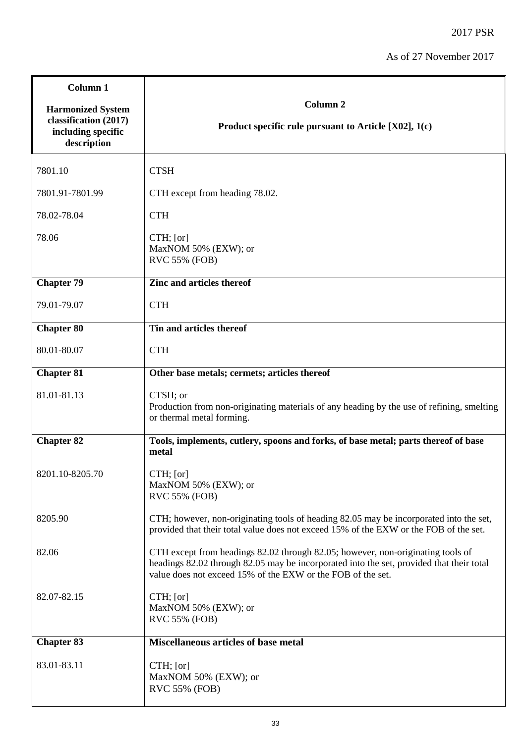| Column <sub>1</sub>                                                                    |                                                                                                                                                                                                                                            |
|----------------------------------------------------------------------------------------|--------------------------------------------------------------------------------------------------------------------------------------------------------------------------------------------------------------------------------------------|
| <b>Harmonized System</b><br>classification (2017)<br>including specific<br>description | Column <sub>2</sub><br>Product specific rule pursuant to Article $[X02]$ , 1(c)                                                                                                                                                            |
| 7801.10                                                                                | <b>CTSH</b>                                                                                                                                                                                                                                |
| 7801.91-7801.99                                                                        | CTH except from heading 78.02.                                                                                                                                                                                                             |
| 78.02-78.04                                                                            | <b>CTH</b>                                                                                                                                                                                                                                 |
| 78.06                                                                                  | $CTH$ ; [or]<br>MaxNOM 50% (EXW); or<br><b>RVC 55% (FOB)</b>                                                                                                                                                                               |
| <b>Chapter 79</b>                                                                      | Zinc and articles thereof                                                                                                                                                                                                                  |
| 79.01-79.07                                                                            | <b>CTH</b>                                                                                                                                                                                                                                 |
| <b>Chapter 80</b>                                                                      | Tin and articles thereof                                                                                                                                                                                                                   |
| 80.01-80.07                                                                            | <b>CTH</b>                                                                                                                                                                                                                                 |
| <b>Chapter 81</b>                                                                      | Other base metals; cermets; articles thereof                                                                                                                                                                                               |
| 81.01-81.13                                                                            | CTSH; or<br>Production from non-originating materials of any heading by the use of refining, smelting<br>or thermal metal forming.                                                                                                         |
| <b>Chapter 82</b>                                                                      | Tools, implements, cutlery, spoons and forks, of base metal; parts thereof of base<br>metal                                                                                                                                                |
| 8201.10-8205.70                                                                        | CTH; [or]<br>MaxNOM 50% (EXW); or<br>RVC 55% (FOB)                                                                                                                                                                                         |
| 8205.90                                                                                | CTH; however, non-originating tools of heading 82.05 may be incorporated into the set,<br>provided that their total value does not exceed 15% of the EXW or the FOB of the set.                                                            |
| 82.06                                                                                  | CTH except from headings 82.02 through 82.05; however, non-originating tools of<br>headings 82.02 through 82.05 may be incorporated into the set, provided that their total<br>value does not exceed 15% of the EXW or the FOB of the set. |
| 82.07-82.15                                                                            | $CTH$ ; [or]<br>MaxNOM 50% (EXW); or<br><b>RVC 55% (FOB)</b>                                                                                                                                                                               |
| <b>Chapter 83</b>                                                                      | <b>Miscellaneous articles of base metal</b>                                                                                                                                                                                                |
| 83.01-83.11                                                                            | $CTH$ ; [or]<br>MaxNOM 50% (EXW); or<br>RVC 55% (FOB)                                                                                                                                                                                      |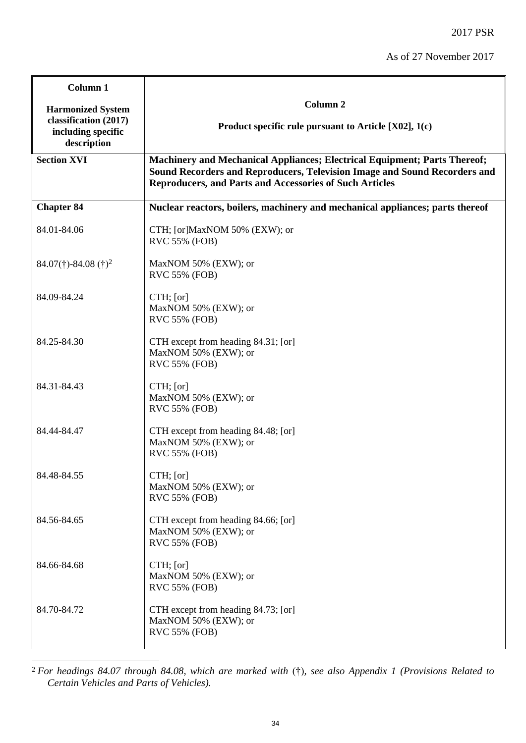| Column 1                                                                               |                                                                                                                                                                                                                          |
|----------------------------------------------------------------------------------------|--------------------------------------------------------------------------------------------------------------------------------------------------------------------------------------------------------------------------|
| <b>Harmonized System</b><br>classification (2017)<br>including specific<br>description | Column <sub>2</sub><br>Product specific rule pursuant to Article [X02], 1(c)                                                                                                                                             |
| <b>Section XVI</b>                                                                     | Machinery and Mechanical Appliances; Electrical Equipment; Parts Thereof;<br>Sound Recorders and Reproducers, Television Image and Sound Recorders and<br><b>Reproducers, and Parts and Accessories of Such Articles</b> |
| <b>Chapter 84</b>                                                                      | Nuclear reactors, boilers, machinery and mechanical appliances; parts thereof                                                                                                                                            |
| 84.01-84.06                                                                            | CTH; [or]MaxNOM 50% (EXW); or<br>RVC 55% (FOB)                                                                                                                                                                           |
| $84.07(\text{t}) - 84.08(\text{t})^2$                                                  | MaxNOM 50% (EXW); or<br><b>RVC 55% (FOB)</b>                                                                                                                                                                             |
| 84.09-84.24                                                                            | CTH; [or]<br>MaxNOM 50% (EXW); or<br>RVC 55% (FOB)                                                                                                                                                                       |
| 84.25-84.30                                                                            | CTH except from heading 84.31; [or]<br>MaxNOM 50% (EXW); or<br>RVC 55% (FOB)                                                                                                                                             |
| 84.31-84.43                                                                            | CTH; [or]<br>MaxNOM 50% (EXW); or<br>RVC 55% (FOB)                                                                                                                                                                       |
| 84.44-84.47                                                                            | CTH except from heading 84.48; [or]<br>MaxNOM 50% (EXW); or<br>RVC 55% (FOB)                                                                                                                                             |
| 84.48-84.55                                                                            | CTH; [or]<br>MaxNOM 50% (EXW); or<br><b>RVC 55% (FOB)</b>                                                                                                                                                                |
| 84.56-84.65                                                                            | CTH except from heading 84.66; [or]<br>MaxNOM 50% (EXW); or<br>RVC 55% (FOB)                                                                                                                                             |
| 84.66-84.68                                                                            | CTH; [or]<br>MaxNOM 50% (EXW); or<br><b>RVC 55% (FOB)</b>                                                                                                                                                                |
| 84.70-84.72                                                                            | CTH except from heading 84.73; [or]<br>MaxNOM 50% (EXW); or<br>RVC 55% (FOB)                                                                                                                                             |

1 <sup>2</sup> *For headings 84.07 through 84.08, which are marked with* (†)*, see also Appendix 1 (Provisions Related to Certain Vehicles and Parts of Vehicles).*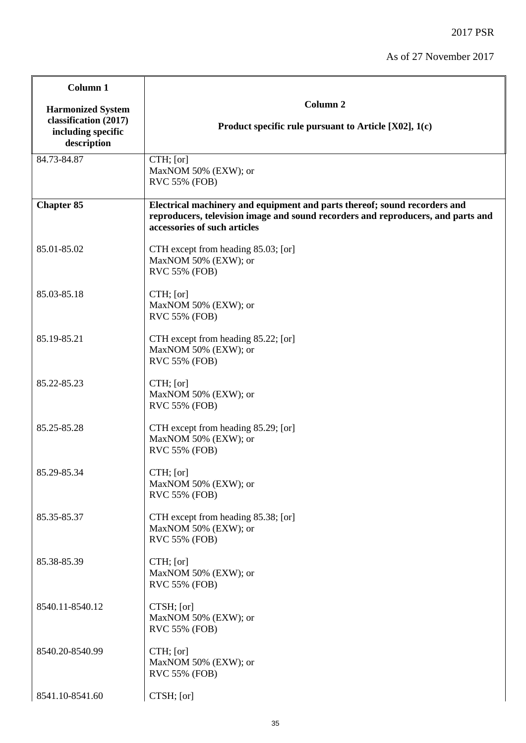| Column 1                                                                               |                                                                                                                                                                                               |
|----------------------------------------------------------------------------------------|-----------------------------------------------------------------------------------------------------------------------------------------------------------------------------------------------|
| <b>Harmonized System</b><br>classification (2017)<br>including specific<br>description | Column <sub>2</sub><br>Product specific rule pursuant to Article $[X02]$ , 1(c)                                                                                                               |
| 84.73-84.87                                                                            | CTH; [or]<br>MaxNOM 50% (EXW); or<br>RVC 55% (FOB)                                                                                                                                            |
| <b>Chapter 85</b>                                                                      | Electrical machinery and equipment and parts thereof; sound recorders and<br>reproducers, television image and sound recorders and reproducers, and parts and<br>accessories of such articles |
| 85.01-85.02                                                                            | CTH except from heading 85.03; [or]<br>MaxNOM 50% (EXW); or<br>RVC 55% (FOB)                                                                                                                  |
| 85.03-85.18                                                                            | CTH; [or]<br>MaxNOM 50% (EXW); or<br>RVC 55% (FOB)                                                                                                                                            |
| 85.19-85.21                                                                            | CTH except from heading 85.22; [or]<br>MaxNOM 50% (EXW); or<br>RVC 55% (FOB)                                                                                                                  |
| 85.22-85.23                                                                            | CTH; [or]<br>MaxNOM 50% (EXW); or<br>RVC 55% (FOB)                                                                                                                                            |
| 85.25-85.28                                                                            | CTH except from heading 85.29; [or]<br>MaxNOM 50% (EXW); or<br>RVC 55% (FOB)                                                                                                                  |
| 85.29-85.34                                                                            | CTH; [or]<br>MaxNOM 50% (EXW); or<br><b>RVC 55% (FOB)</b>                                                                                                                                     |
| 85.35-85.37                                                                            | CTH except from heading 85.38; [or]<br>MaxNOM 50% (EXW); or<br>RVC 55% (FOB)                                                                                                                  |
| 85.38-85.39                                                                            | CTH; [or]<br>MaxNOM 50% (EXW); or<br>RVC 55% (FOB)                                                                                                                                            |
| 8540.11-8540.12                                                                        | CTSH; [or]<br>MaxNOM 50% (EXW); or<br><b>RVC 55% (FOB)</b>                                                                                                                                    |
| 8540.20-8540.99                                                                        | CTH; [or]<br>MaxNOM 50% (EXW); or<br>RVC 55% (FOB)                                                                                                                                            |
| 8541.10-8541.60                                                                        | CTSH; [or]                                                                                                                                                                                    |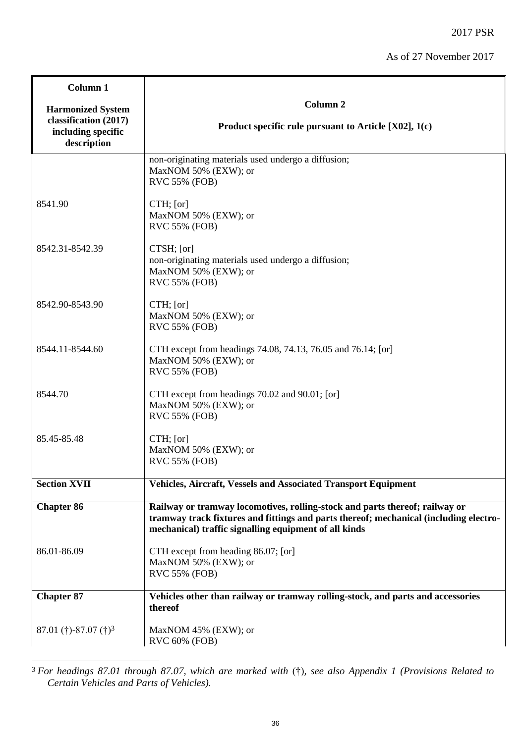| Column <sub>1</sub>                                                                    |                                                                                                                                                                                                                               |
|----------------------------------------------------------------------------------------|-------------------------------------------------------------------------------------------------------------------------------------------------------------------------------------------------------------------------------|
| <b>Harmonized System</b><br>classification (2017)<br>including specific<br>description | Column <sub>2</sub><br>Product specific rule pursuant to Article $[X02]$ , 1(c)                                                                                                                                               |
|                                                                                        | non-originating materials used undergo a diffusion;<br>MaxNOM 50% (EXW); or<br><b>RVC 55% (FOB)</b>                                                                                                                           |
| 8541.90                                                                                | $CTH$ ; [or]<br>MaxNOM 50% (EXW); or<br><b>RVC 55% (FOB)</b>                                                                                                                                                                  |
| 8542.31-8542.39                                                                        | CTSH; [or]<br>non-originating materials used undergo a diffusion;<br>MaxNOM 50% (EXW); or<br>RVC 55% (FOB)                                                                                                                    |
| 8542.90-8543.90                                                                        | $CTH$ ; [or]<br>MaxNOM 50% (EXW); or<br><b>RVC 55% (FOB)</b>                                                                                                                                                                  |
| 8544.11-8544.60                                                                        | CTH except from headings 74.08, 74.13, 76.05 and 76.14; [or]<br>MaxNOM 50% (EXW); or<br>RVC 55% (FOB)                                                                                                                         |
| 8544.70                                                                                | CTH except from headings 70.02 and 90.01; [or]<br>MaxNOM 50% (EXW); or<br><b>RVC 55% (FOB)</b>                                                                                                                                |
| 85.45-85.48                                                                            | $CTH$ ; [or]<br>MaxNOM 50% (EXW); or<br><b>RVC 55% (FOB)</b>                                                                                                                                                                  |
| <b>Section XVII</b>                                                                    | <b>Vehicles, Aircraft, Vessels and Associated Transport Equipment</b>                                                                                                                                                         |
| <b>Chapter 86</b>                                                                      | Railway or tramway locomotives, rolling-stock and parts thereof; railway or<br>tramway track fixtures and fittings and parts thereof; mechanical (including electro-<br>mechanical) traffic signalling equipment of all kinds |
| 86.01-86.09                                                                            | CTH except from heading 86.07; [or]<br>MaxNOM 50% (EXW); or<br><b>RVC 55% (FOB)</b>                                                                                                                                           |
| <b>Chapter 87</b>                                                                      | Vehicles other than railway or tramway rolling-stock, and parts and accessories<br>thereof                                                                                                                                    |
| 87.01 (†)-87.07 (†) <sup>3</sup>                                                       | MaxNOM 45% (EXW); or<br>RVC 60% (FOB)                                                                                                                                                                                         |

<sup>3</sup> *For headings 87.01 through 87.07, which are marked with* (†)*, see also Appendix 1 (Provisions Related to Certain Vehicles and Parts of Vehicles).*

1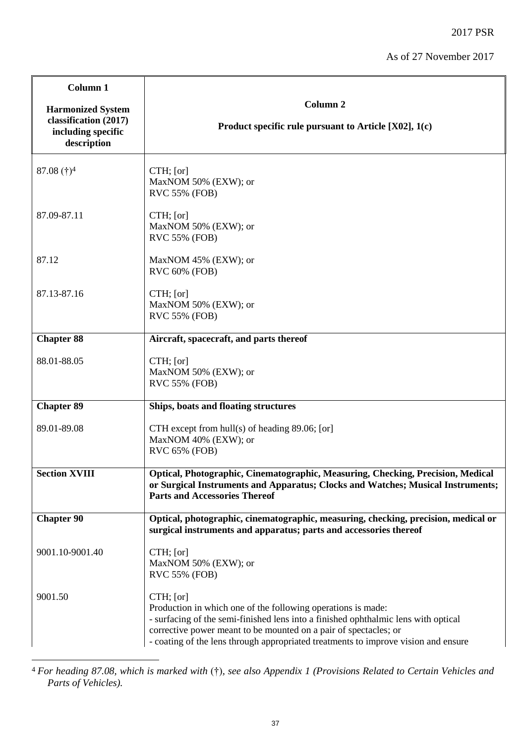| Column 1<br><b>Harmonized System</b>                       | Column <sub>2</sub>                                                                                                                                                                                                                                                                                                       |
|------------------------------------------------------------|---------------------------------------------------------------------------------------------------------------------------------------------------------------------------------------------------------------------------------------------------------------------------------------------------------------------------|
| classification (2017)<br>including specific<br>description | Product specific rule pursuant to Article $[X02]$ , 1(c)                                                                                                                                                                                                                                                                  |
| $87.08$ (†) <sup>4</sup>                                   | CTH; [or]<br>MaxNOM 50% (EXW); or<br><b>RVC 55% (FOB)</b>                                                                                                                                                                                                                                                                 |
| 87.09-87.11                                                | CTH; [or]<br>MaxNOM 50% (EXW); or<br><b>RVC 55% (FOB)</b>                                                                                                                                                                                                                                                                 |
| 87.12                                                      | MaxNOM 45% (EXW); or<br><b>RVC 60% (FOB)</b>                                                                                                                                                                                                                                                                              |
| 87.13-87.16                                                | $CTH$ ; [or]<br>MaxNOM 50% (EXW); or<br>RVC 55% (FOB)                                                                                                                                                                                                                                                                     |
| <b>Chapter 88</b>                                          | Aircraft, spacecraft, and parts thereof                                                                                                                                                                                                                                                                                   |
| 88.01-88.05                                                | $CTH$ ; [or]<br>MaxNOM 50% (EXW); or<br>RVC 55% (FOB)                                                                                                                                                                                                                                                                     |
| <b>Chapter 89</b>                                          | Ships, boats and floating structures                                                                                                                                                                                                                                                                                      |
| 89.01-89.08                                                | CTH except from $hull(s)$ of heading 89.06; [or]<br>MaxNOM 40% (EXW); or<br>RVC 65% (FOB)                                                                                                                                                                                                                                 |
| <b>Section XVIII</b>                                       | Optical, Photographic, Cinematographic, Measuring, Checking, Precision, Medical<br>or Surgical Instruments and Apparatus; Clocks and Watches; Musical Instruments;<br><b>Parts and Accessories Thereof</b>                                                                                                                |
| <b>Chapter 90</b>                                          | Optical, photographic, cinematographic, measuring, checking, precision, medical or<br>surgical instruments and apparatus; parts and accessories thereof                                                                                                                                                                   |
| 9001.10-9001.40                                            | CTH; [or]<br>MaxNOM 50% (EXW); or<br><b>RVC 55% (FOB)</b>                                                                                                                                                                                                                                                                 |
| 9001.50                                                    | CTH; [or]<br>Production in which one of the following operations is made:<br>- surfacing of the semi-finished lens into a finished ophthalmic lens with optical<br>corrective power meant to be mounted on a pair of spectacles; or<br>- coating of the lens through appropriated treatments to improve vision and ensure |

<sup>4</sup> *For heading 87.08, which is marked with* (†)*, see also Appendix 1 (Provisions Related to Certain Vehicles and Parts of Vehicles).*

1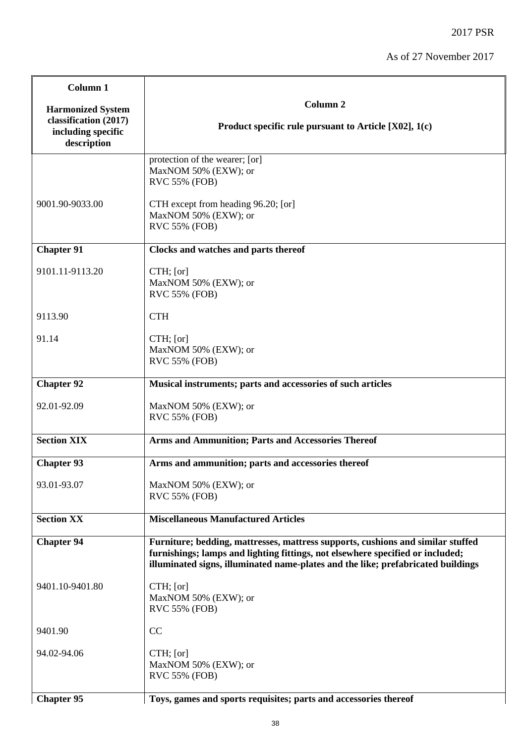| Column <sub>1</sub>                                        |                                                                                                                                                                                                                                                       |
|------------------------------------------------------------|-------------------------------------------------------------------------------------------------------------------------------------------------------------------------------------------------------------------------------------------------------|
| <b>Harmonized System</b>                                   | Column <sub>2</sub>                                                                                                                                                                                                                                   |
| classification (2017)<br>including specific<br>description | Product specific rule pursuant to Article $[X02]$ , 1(c)                                                                                                                                                                                              |
|                                                            | protection of the wearer; [or]<br>MaxNOM 50% (EXW); or<br><b>RVC 55% (FOB)</b>                                                                                                                                                                        |
| 9001.90-9033.00                                            | CTH except from heading 96.20; [or]<br>MaxNOM 50% (EXW); or<br>RVC 55% (FOB)                                                                                                                                                                          |
| <b>Chapter 91</b>                                          | Clocks and watches and parts thereof                                                                                                                                                                                                                  |
| 9101.11-9113.20                                            | CTH; [or]<br>MaxNOM 50% (EXW); or<br>RVC 55% (FOB)                                                                                                                                                                                                    |
| 9113.90                                                    | <b>CTH</b>                                                                                                                                                                                                                                            |
| 91.14                                                      | $CTH$ ; [or]<br>MaxNOM 50% (EXW); or<br>RVC 55% (FOB)                                                                                                                                                                                                 |
| <b>Chapter 92</b>                                          | Musical instruments; parts and accessories of such articles                                                                                                                                                                                           |
| 92.01-92.09                                                | MaxNOM 50% (EXW); or<br>RVC 55% (FOB)                                                                                                                                                                                                                 |
| <b>Section XIX</b>                                         | Arms and Ammunition; Parts and Accessories Thereof                                                                                                                                                                                                    |
| <b>Chapter 93</b>                                          | Arms and ammunition; parts and accessories thereof                                                                                                                                                                                                    |
| 93.01-93.07                                                | MaxNOM 50% (EXW); or<br><b>RVC 55% (FOB)</b>                                                                                                                                                                                                          |
| <b>Section XX</b>                                          | <b>Miscellaneous Manufactured Articles</b>                                                                                                                                                                                                            |
| <b>Chapter 94</b>                                          | Furniture; bedding, mattresses, mattress supports, cushions and similar stuffed<br>furnishings; lamps and lighting fittings, not elsewhere specified or included;<br>illuminated signs, illuminated name-plates and the like; prefabricated buildings |
| 9401.10-9401.80                                            | $CTH$ ; [or]<br>MaxNOM 50% (EXW); or<br>RVC 55% (FOB)                                                                                                                                                                                                 |
| 9401.90                                                    | CC                                                                                                                                                                                                                                                    |
| 94.02-94.06                                                | CTH; [or]<br>MaxNOM 50% (EXW); or<br>RVC 55% (FOB)                                                                                                                                                                                                    |
| <b>Chapter 95</b>                                          | Toys, games and sports requisites; parts and accessories thereof                                                                                                                                                                                      |